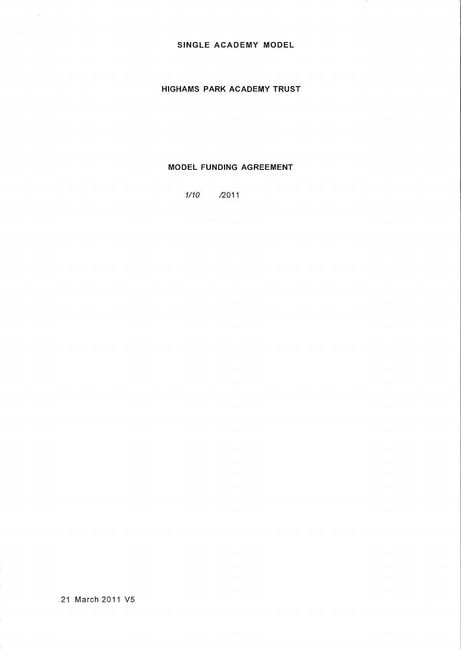# **SINGLE ACADEMY MODEL**

# **HIGHAMS PARK ACADEMY TRUST**

# **MODEL FUNDING AGREEMENT**

1/10 /2011

21 March 2011 V5

 $\tilde{\mathcal{A}}$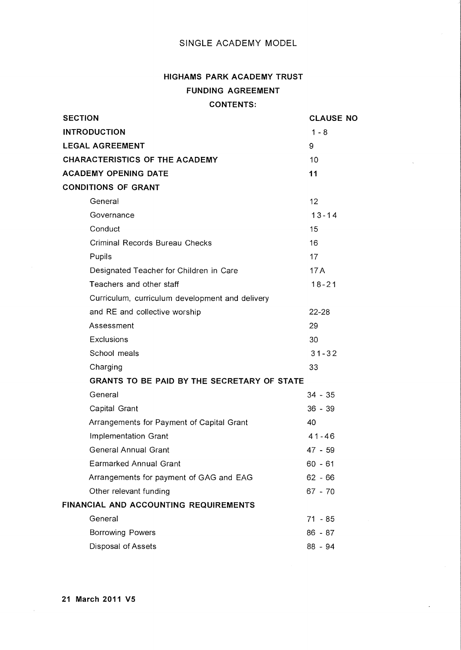# SINGLE ACADEMY MODEL

# **HIGHAMS PARK ACADEMY TRUST FUNDING AGREEMENT CONTENTS:**

| <b>SECTION</b>                        |                                                 | <b>CLAUSE NO</b> |  |
|---------------------------------------|-------------------------------------------------|------------------|--|
| <b>INTRODUCTION</b>                   |                                                 | $1 - 8$          |  |
| <b>LEGAL AGREEMENT</b>                |                                                 | 9                |  |
| <b>CHARACTERISTICS OF THE ACADEMY</b> | 10                                              |                  |  |
| <b>ACADEMY OPENING DATE</b>           | 11                                              |                  |  |
| <b>CONDITIONS OF GRANT</b>            |                                                 |                  |  |
|                                       | General                                         | 12               |  |
|                                       | Governance                                      | $13 - 14$        |  |
|                                       | Conduct                                         | 15               |  |
|                                       | Criminal Records Bureau Checks                  | 16               |  |
|                                       | Pupils                                          | 17               |  |
|                                       | Designated Teacher for Children in Care         | 17A              |  |
|                                       | Teachers and other staff                        | $18 - 21$        |  |
|                                       | Curriculum, curriculum development and delivery |                  |  |
|                                       | and RE and collective worship                   | $22 - 28$        |  |
|                                       | Assessment                                      | 29               |  |
|                                       | Exclusions                                      | 30               |  |
|                                       | School meals                                    | $31 - 32$        |  |
|                                       | Charging                                        | 33               |  |
|                                       | GRANTS TO BE PAID BY THE SECRETARY OF STATE     |                  |  |
|                                       | General                                         | $34 - 35$        |  |
|                                       | Capital Grant                                   | $36 - 39$        |  |
|                                       | Arrangements for Payment of Capital Grant       | 40               |  |
|                                       | Implementation Grant                            | $41 - 46$        |  |
|                                       | <b>General Annual Grant</b>                     | 47 - 59          |  |
|                                       | <b>Earmarked Annual Grant</b>                   | $60 - 61$        |  |
|                                       | Arrangements for payment of GAG and EAG         | $62 - 66$        |  |
|                                       | Other relevant funding                          | $67 - 70$        |  |
| FINANCIAL AND ACCOUNTING REQUIREMENTS |                                                 |                  |  |
|                                       | General                                         | $71 - 85$        |  |
|                                       | <b>Borrowing Powers</b>                         | $86 - 87$        |  |
|                                       | Disposal of Assets                              | 88 - 94          |  |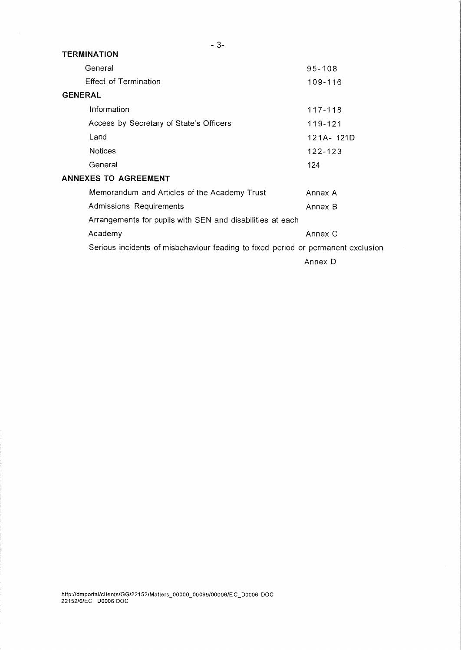| <b>TERMINATION</b>                                                               |                                                           |  |  |
|----------------------------------------------------------------------------------|-----------------------------------------------------------|--|--|
| General                                                                          | $95 - 108$                                                |  |  |
| <b>Effect of Termination</b>                                                     | 109-116                                                   |  |  |
| <b>GENERAL</b>                                                                   |                                                           |  |  |
| Information                                                                      | $117 - 118$                                               |  |  |
| Access by Secretary of State's Officers                                          | 119-121                                                   |  |  |
| Land                                                                             | 121A-121D                                                 |  |  |
| <b>Notices</b>                                                                   | 122-123                                                   |  |  |
| General                                                                          | 124                                                       |  |  |
| <b>ANNEXES TO AGREEMENT</b>                                                      |                                                           |  |  |
| Memorandum and Articles of the Academy Trust                                     | Annex A                                                   |  |  |
| Admissions Requirements                                                          | Annex B                                                   |  |  |
|                                                                                  | Arrangements for pupils with SEN and disabilities at each |  |  |
| Academy                                                                          | Annex C                                                   |  |  |
| Serious incidents of misbehaviour feading to fixed period or permanent exclusion |                                                           |  |  |
|                                                                                  | Annex D                                                   |  |  |

- 3-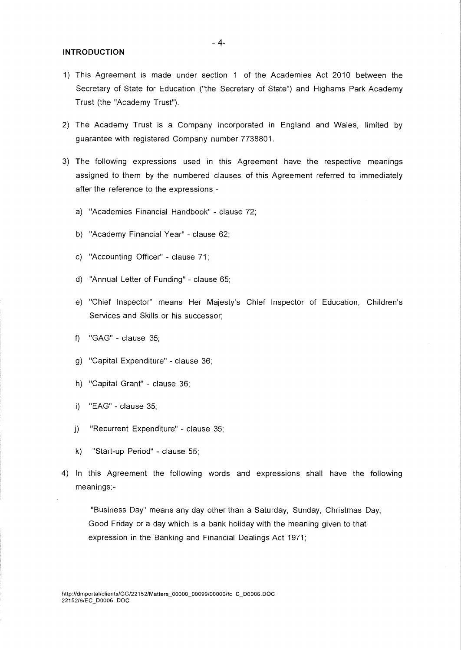#### **INTRODUCTION**

- 1) This Agreement is made under section 1 of the Academies Act 2010 between the Secretary of State for Education ("the Secretary of State") and Highams Park Academy Trust (the "Academy Trust").
- 2) The Academy Trust is a Company incorporated in England and Wales, limited by guarantee with registered Company number 7738801.
- 3) The following expressions used in this Agreement have the respective meanings assigned to them by the numbered clauses of this Agreement referred to immediately after the reference to the expressions
	- a) "Academies Financial Handbook" clause 72;
	- b) "Academy Financial Year" clause 62;
	- c) "Accounting Officer" clause 71;
	- d) "Annual Letter of Funding" clause 65;
	- e) "Chief Inspector" means Her Majesty's Chief Inspector of Education, Children's Services and Skills or his successor;
	- f) "GAG" clause 35;
	- g) "Capital Expenditure" clause 36;
	- h) "Capital Grant" clause 36;
	- i) "EAG" clause 35;
	- j) "Recurrent Expenditure" clause 35;
	- k) "Start-up Period" clause 55;
- 4) In this Agreement the following words and expressions shall have the following meanings:-

"Business Day" means any day other than a Saturday, Sunday, Christmas Day, Good Friday or a day which is a bank holiday with the meaning given to that expression in the Banking and Financial Dealings Act 1971;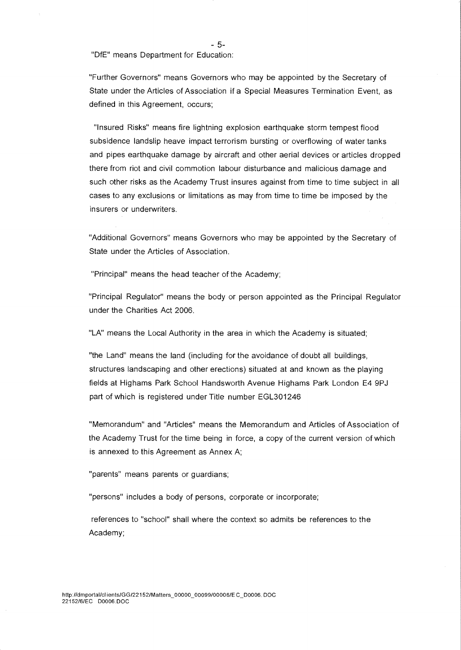- 5-

"DfE" means Department for Education:

"Further Governors" means Governors who may be appointed by the Secretary of State under the Articles of Association if a Special Measures Termination Event, as defined in this Agreement, occurs;

"Insured Risks" means fire lightning explosion earthquake storm tempest flood subsidence landslip heave impact terrorism bursting or overflowing of water tanks and pipes earthquake damage by aircraft and other aerial devices or articles dropped there from riot and civil commotion labour disturbance and malicious damage and such other risks as the Academy Trust insures against from time to time subject in all cases to any exclusions or limitations as may from time to time be imposed by the insurers or underwriters.

"Additional Governors" means Governors who may be appointed by the Secretary of State under the Articles of Association.

"Principal" means the head teacher of the Academy;

"Principal Regulator" means the body or person appointed as the Principal Regulator under the Charities Act 2006.

"LA" means the Local Authority in the area in which the Academy is situated;

"the Land" means the land (including for the avoidance of doubt all buildings, structures landscaping and other erections) situated at and known as the playing fields at Highams Park School Handsworth Avenue Highams Park London E4 9PJ part of which is registered under Title number EGL301246

"Memorandum" and "Articles" means the Memorandum and Articles of Association of the Academy Trust for the time being in force, a copy of the current version of which is annexed to this Agreement as Annex A;

"parents" means parents or guardians;

"persons" includes a body of persons, corporate or incorporate;

references to "school" shall where the context so admits be references to the Academy;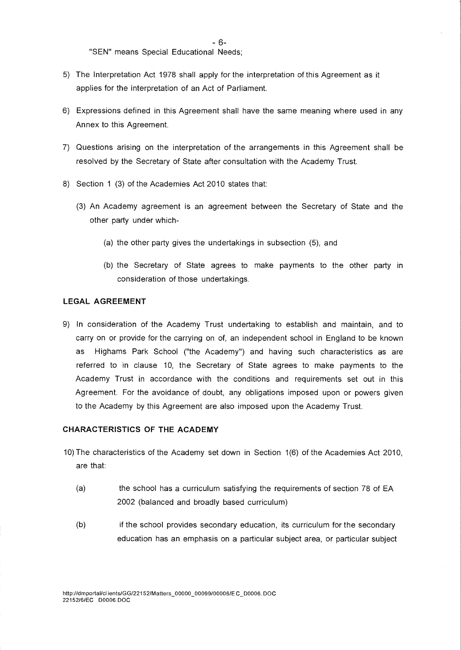- 6-

"SEN" means Special Educational Needs;

- 5) The Interpretation Act 1978 shall apply for the interpretation of this Agreement as it applies for the interpretation of an Act of Parliament.
- 6) Expressions defined in this Agreement shall have the same meaning where used in any Annex to this Agreement.
- 7) Questions arising on the interpretation of the arrangements in this Agreement shall be resolved by the Secretary of State after consultation with the Academy Trust.
- 8) Section 1 (3) of the Academies Act 2010 states that:
	- (3) An Academy agreement is an agreement between the Secretary of State and the other party under which-
		- (a) the other party gives the undertakings in subsection (5), and
		- (b) the Secretary of State agrees to make payments to the other party in consideration of those undertakings.

#### **LEGAL AGREEMENT**

9) In consideration of the Academy Trust undertaking to establish and maintain, and to carry on or provide for the carrying on of, an independent school in England to be known as Highams Park School ("the Academy") and having such characteristics as are referred to in clause 10, the Secretary of State agrees to make payments to the Academy Trust in accordance with the conditions and requirements set out in this Agreement. For the avoidance of doubt, any obligations imposed upon or powers given to the Academy by this Agreement are also imposed upon the Academy Trust.

# **CHARACTERISTICS OF THE ACADEMY**

- 10) The characteristics of the Academy set down in Section 1(6) of the Academies Act 2010, are that:
	- (a) the school has a curriculum satisfying the requirements of section 78 of EA 2002 (balanced and broadly based curriculum)
	- (b) if the school provides secondary education, its curriculum for the secondary education has an emphasis on a particular subject area, or particular subject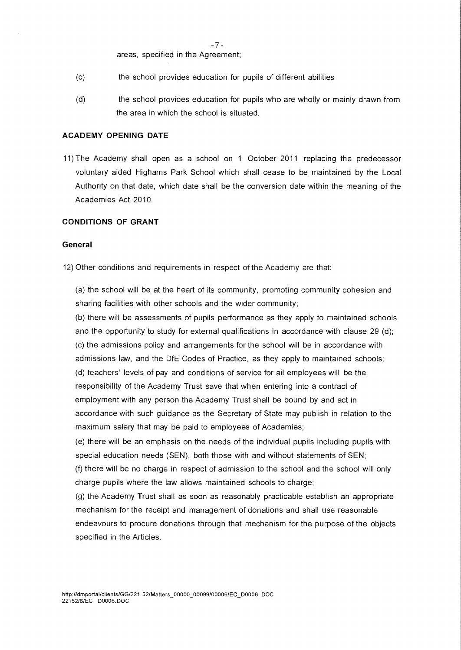-7 areas, specified in the Agreement;

- (c) the school provides education for pupils of different abilities
- (d) the school provides education for pupils who are wholly or mainly drawn from the area in which the school is situated.

#### **ACADEMY OPENING DATE**

11) The Academy shall open as a school on 1 October 2011 replacing the predecessor voluntary aided Highams Park School which shall cease to be maintained by the Local Authority on that date, which date shall be the conversion date within the meaning of the Academies Act 2010.

# **CONDITIONS OF GRANT**

# **General**

12) Other conditions and requirements in respect of the Academy are that:

(a) the school will be at the heart of its community, promoting community cohesion and sharing facilities with other schools and the wider community;

(b) there will be assessments of pupils performance as they apply to maintained schools and the opportunity to study for external qualifications in accordance with clause 29 (d); (c) the admissions policy and arrangements for the school will be in accordance with admissions law, and the DfE Codes of Practice, as they apply to maintained schools; (d) teachers' levels of pay and conditions of service for ail employees will be the responsibility of the Academy Trust save that when entering into a contract of employment with any person the Academy Trust shall be bound by and act in accordance with such guidance as the Secretary of State may publish in relation to the maximum salary that may be paid to employees of Academies;

(e) there will be an emphasis on the needs of the individual pupils including pupils with special education needs (SEN), both those with and without statements of SEN; (f) there will be no charge in respect of admission to the school and the school will only charge pupils where the law allows maintained schools to charge;

(g) the Academy Trust shall as soon as reasonably practicable establish an appropriate mechanism for the receipt and management of donations and shall use reasonable endeavours to procure donations through that mechanism for the purpose of the objects specified in the Articles.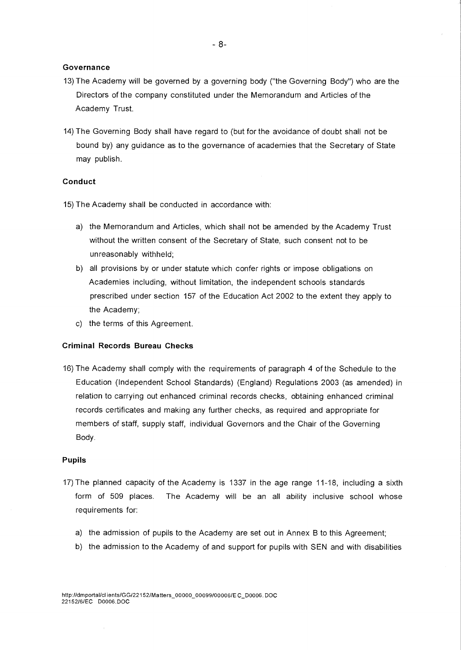#### **Governance**

- 13) The Academy will be governed by a governing body ("the Governing Body") who are the Directors of the company constituted under the Memorandum and Articles of the Academy Trust.
- 14) The Governing Body shall have regard to (but for the avoidance of doubt shall not be bound by) any guidance as to the governance of academies that the Secretary of State may publish.

# **Conduct**

15) The Academy shall be conducted in accordance with:

- a) the Memorandum and Articles, which shall not be amended by the Academy Trust without the written consent of the Secretary of State, such consent not to be unreasonably withheld;
- b) all provisions by or under statute which confer rights or impose obligations on Academies including, without limitation, the independent schools standards prescribed under section 157 of the Education Act 2002 to the extent they apply to the Academy;
- c) the terms of this Agreement.

#### **Criminal Records Bureau Checks**

16) The Academy shall comply with the requirements of paragraph 4 of the Schedule to the Education (Independent School Standards) (England) Regulations 2003 (as amended) in relation to carrying out enhanced criminal records checks, obtaining enhanced criminal records certificates and making any further checks, as required and appropriate for members of staff, supply staff, individual Governors and the Chair of the Governing Body.

#### **Pupils**

- 17) The planned capacity of the Academy is 1337 in the age range 11-18, including a sixth form of 509 places. The Academy will be an all ability inclusive school whose requirements for:
	- a) the admission of pupils to the Academy are set out in Annex B to this Agreement;
	- b) the admission to the Academy of and support for pupils with SEN and with disabilities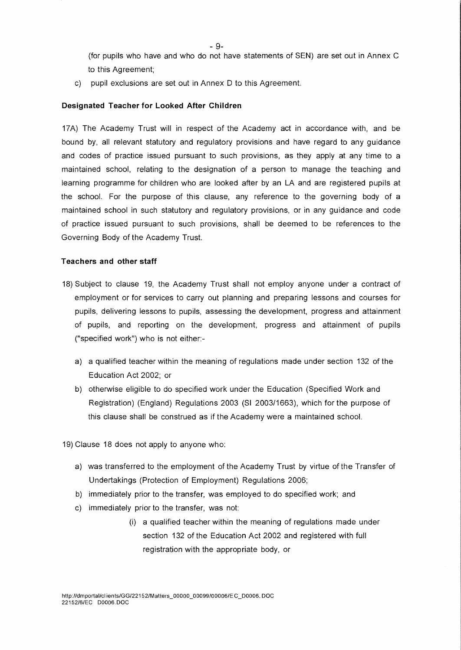(for pupils who have and who do not have statements of SEN) are set out in Annex C to this Agreement;

c) pupil exclusions are set out in Annex D to this Agreement.

## **Designated Teacher for Looked After Children**

17A) The Academy Trust will in respect of the Academy act in accordance with, and be bound by, all relevant statutory and regulatory provisions and have regard to any guidance and codes of practice issued pursuant to such provisions, as they apply at any time to a maintained school, relating to the designation of a person to manage the teaching and learning programme for children who are looked after by an LA and are registered pupils at the school. For the purpose of this clause, any reference to the governing body of a maintained school in such statutory and regulatory provisions, or in any guidance and code of practice issued pursuant to such provisions, shall be deemed to be references to the Governing Body of the Academy Trust.

#### **Teachers and other staff**

- 18) Subject to clause 19, the Academy Trust shall not employ anyone under a contract of employment or for services to carry out planning and preparing lessons and courses for pupils, delivering lessons to pupils, assessing the development, progress and attainment of pupils, and reporting on the development, progress and attainment of pupils ("specified work") who is not either:
	- a) a qualified teacher within the meaning of regulations made under section 132 of the Education Act 2002; or
	- b) otherwise eligible to do specified work under the Education (Specified Work and Registration) (England) Regulations 2003 (SI 2003/1663), which for the purpose of this clause shall be construed as if the Academy were a maintained school.

19) Clause 18 does not apply to anyone who:

- a) was transferred to the employment of the Academy Trust by virtue of the Transfer of Undertakings (Protection of Employment) Regulations 2006;
- b) immediately prior to the transfer, was employed to do specified work; and
- c) immediately prior to the transfer, was not:
	- (i) a qualified teacher within the meaning of regulations made under section 132 of the Education Act 2002 and registered with full registration with the appropriate body, or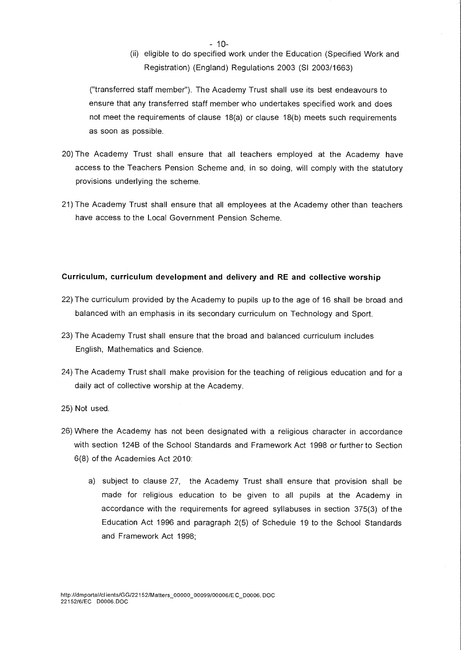$-10-$ 

(ii) eligible to do specified work under the Education (Specified Work and Registration) (England) Regulations 2003 (SI 2003/1663)

("transferred staff member"). The Academy Trust shall use its best endeavours to ensure that any transferred staff member who undertakes specified work and does not meet the requirements of clause 18(a) or clause 18(b) meets such requirements as soon as possible.

- 20) The Academy Trust shall ensure that all teachers employed at the Academy have access to the Teachers Pension Scheme and, in so doing, will comply with the statutory provisions underlying the scheme.
- 21) The Academy Trust shall ensure that all employees at the Academy other than teachers have access to the Local Government Pension Scheme.

# **Curriculum, curriculum development and delivery and RE and collective worship**

- 22) The curriculum provided by the Academy to pupils up to the age of 16 shall be broad and balanced with an emphasis in its secondary curriculum on Technology and Sport.
- 23) The Academy Trust shall ensure that the broad and balanced curriculum includes English, Mathematics and Science.
- 24) The Academy Trust shall make provision for the teaching of religious education and for a daily act of collective worship at the Academy.
- 25) Not used.
- 26) Where the Academy has not been designated with a religious character in accordance with section 124B of the School Standards and Framework Act 1998 or further to Section 6(8) of the Academies Act 2010:
	- a) subject to clause 27, the Academy Trust shall ensure that provision shall be made for religious education to be given to all pupils at the Academy in accordance with the requirements for agreed syllabuses in section 375(3) of the Education Act 1996 and paragraph 2(5) of Schedule 19 to the School Standards and Framework Act 1998;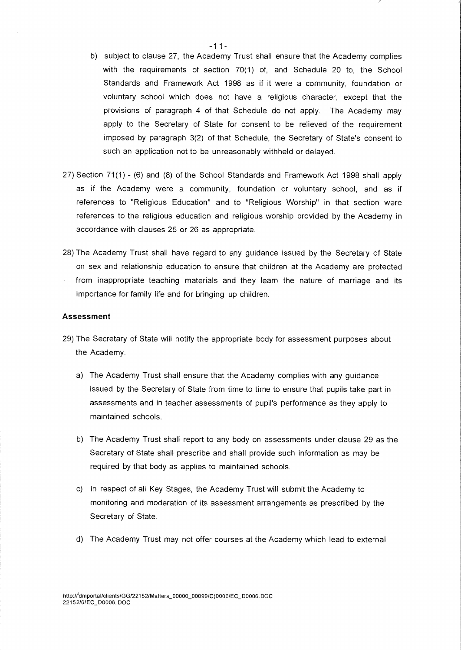- b) subject to clause 27, the Academy Trust shall ensure that the Academy complies with the requirements of section 70(1) of, and Schedule 20 to, the School Standards and Framework Act 1998 as if it were a community, foundation or voluntary school which does not have a religious character, except that the provisions of paragraph 4 of that Schedule do not apply. The Academy may apply to the Secretary of State for consent to be relieved of the requirement imposed by paragraph 3(2) of that Schedule, the Secretary of State's consent to such an application not to be unreasonably withheld or delayed.
- 27) Section 71(1) (6) and (8) of the School Standards and Framework Act 1998 shall apply as if the Academy were a community, foundation or voluntary school, and as if references to "Religious Education" and to "Religious Worship" in that section were references to the religious education and religious worship provided by the Academy in accordance with clauses 25 or 26 as appropriate.
- 28) The Academy Trust shall have regard to any guidance issued by the Secretary of State on sex and relationship education to ensure that children at the Academy are protected from inappropriate teaching materials and they learn the nature of marriage and its importance for family life and for bringing up children.

#### Assessment

- 29) The Secretary of State will notify the appropriate body for assessment purposes about the Academy.
	- a) The Academy Trust shall ensure that the Academy complies with any guidance issued by the Secretary of State from time to time to ensure that pupils take part in assessments and in teacher assessments of pupil's performance as they apply to maintained schools.
	- b) The Academy Trust shall report to any body on assessments under clause 29 as the Secretary of State shall prescribe and shall provide such information as may be required by that body as applies to maintained schools.
	- c) In respect of all Key Stages, the Academy Trust will submit the Academy to monitoring and moderation of its assessment arrangements as prescribed by the Secretary of State.
	- d) The Academy Trust may not offer courses at the Academy which lead to external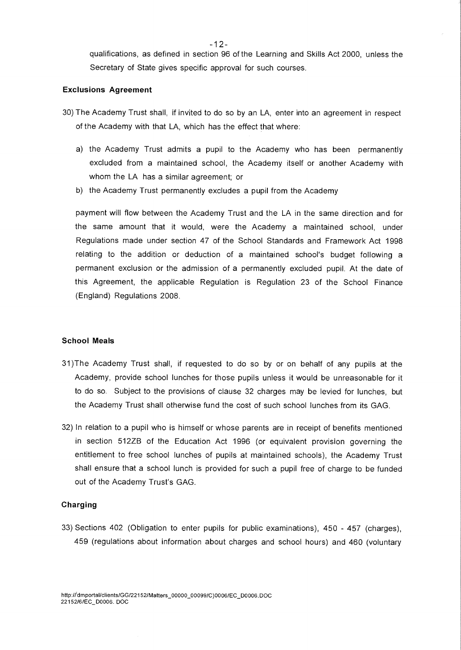qualifications, as defined in section 96 of the Learning and Skills Act 2000, unless the Secretary of State gives specific approval for such courses.

#### **Exclusions Agreement**

- 30) The Academy Trust shall, if invited to do so by an LA, enter into an agreement in respect of the Academy with that LA, which has the effect that where:
	- a) the Academy Trust admits a pupil to the Academy who has been permanently excluded from a maintained school, the Academy itself or another Academy with whom the LA has a similar agreement; or
	- b) the Academy Trust permanently excludes a pupil from the Academy

payment will flow between the Academy Trust and the LA in the same direction and for the same amount that it would, were the Academy a maintained school, under Regulations made under section 47 of the School Standards and Framework Act 1998 relating to the addition or deduction of a maintained school's budget following a permanent exclusion or the admission of a permanently excluded pupil. At the date of this Agreement, the applicable Regulation is Regulation 23 of the School Finance (England) Regulations 2008.

#### **School Meals**

- 31)The Academy Trust shall, if requested to do so by or on behalf of any pupils at the Academy, provide school lunches for those pupils unless it would be unreasonable for it to do so. Subject to the provisions of clause 32 charges may be levied for lunches, but the Academy Trust shall otherwise fund the cost of such school lunches from its GAG.
- 32) In relation to a pupil who is himself or whose parents are in receipt of benefits mentioned in section 512ZB of the Education Act 1996 (or equivalent provision governing the entitlement to free school lunches of pupils at maintained schools), the Academy Trust shall ensure that a school lunch is provided for such a pupil free of charge to be funded out of the Academy Trust's GAG.

## **Charging**

33) Sections 402 (Obligation to enter pupils for public examinations), 450 - 457 (charges), 459 (regulations about information about charges and school hours) and 460 (voluntary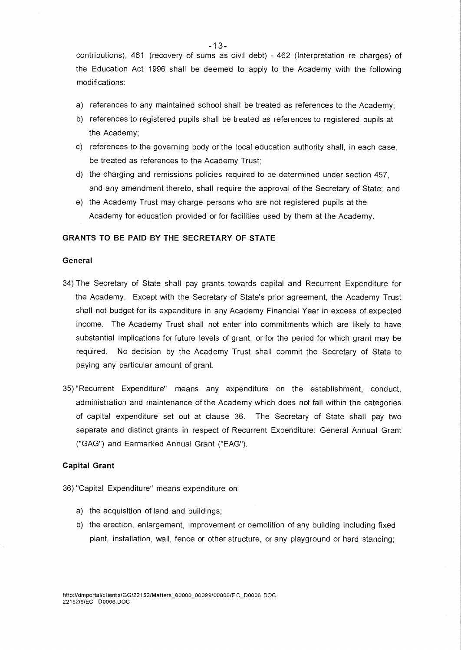contributions), 461 (recovery of sums as civil debt) - 462 (Interpretation re charges) of the Education Act 1996 shall be deemed to apply to the Academy with the following modifications:

- a) references to any maintained school shall be treated as references to the Academy;
- b) references to registered pupils shall be treated as references to registered pupils at the Academy;
- c) references to the governing body or the local education authority shall, in each case, be treated as references to the Academy Trust;
- d) the charging and remissions policies required to be determined under section 457, and any amendment thereto, shall require the approval of the Secretary of State; and
- e) the Academy Trust may charge persons who are not registered pupils at the Academy for education provided or for facilities used by them at the Academy.

## **GRANTS TO BE PAID BY THE SECRETARY OF STATE**

#### **General**

- 34) The Secretary of State shall pay grants towards capital and Recurrent Expenditure for the Academy. Except with the Secretary of State's prior agreement, the Academy Trust shall not budget for its expenditure in any Academy Financial Year in excess of expected income. The Academy Trust shall not enter into commitments which are likely to have substantial implications for future levels of grant, or for the period for which grant may be required. No decision by the Academy Trust shall commit the Secretary of State to paying any particular amount of grant.
- 35) "Recurrent Expenditure" means any expenditure on the establishment, conduct, administration and maintenance of the Academy which does not fall within the categories of capital expenditure set out at clause 36. The Secretary of State shall pay two separate and distinct grants in respect of Recurrent Expenditure: General Annual Grant ("GAG") and Earmarked Annual Grant ("EAG").

#### **Capital Grant**

- 36) "Capital Expenditure" means expenditure on:
	- a) the acquisition of land and buildings;
	- b) the erection, enlargement, improvement or demolition of any building including fixed plant, installation, wall, fence or other structure, or any playground or hard standing;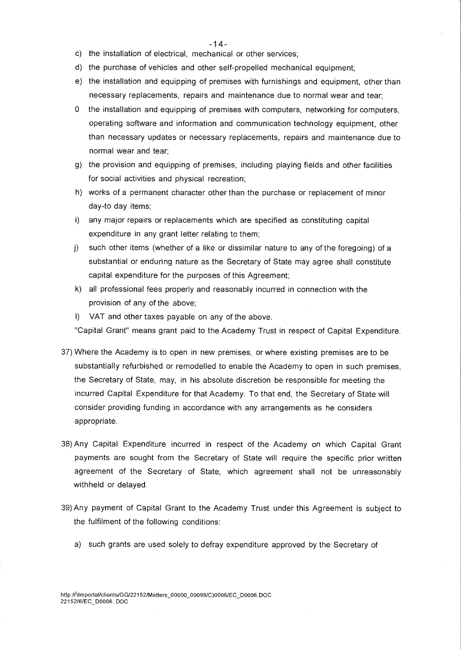- -14-
- c) the installation of electrical, mechanical or other services;
- d) the purchase of vehicles and other self-propelled mechanical equipment;
- e) the installation and equipping of premises with furnishings and equipment, other than necessary replacements, repairs and maintenance due to normal wear and tear;
- 0 the installation and equipping of premises with computers, networking for computers, operating software and information and communication technology equipment, other than necessary updates or necessary replacements, repairs and maintenance due to normal wear and tear;
- g) the provision and equipping of premises, including playing fields and other facilities for social activities and physical recreation;
- h) works of a permanent character other than the purchase or replacement of minor day-to day items;
- i) any major repairs or replacements which are specified as constituting capital expenditure in any grant letter relating to them;
- j) such other items (whether of a like or dissimilar nature to any of the foregoing) of a substantial or enduring nature as the Secretary of State may agree shall constitute capital expenditure for the purposes of this Agreement;
- k) all professional fees properly and reasonably incurred in connection with the provision of any of the above;
- I) VAT and other taxes payable on any of the above.

"Capital Grant" means grant paid to the Academy Trust in respect of Capital Expenditure.

- 37) Where the Academy is to open in new premises, or where existing premises are to be substantially refurbished or remodelled to enable the Academy to open in such premises, the Secretary of State, may, in his absolute discretion be responsible for meeting the incurred Capital Expenditure for that Academy. To that end, the Secretary of State will consider providing funding in accordance with any arrangements as he considers appropriate.
- 38)Any Capital Expenditure incurred in respect of the Academy on which Capital Grant payments are sought from the Secretary of State will require the specific prior written agreement of the Secretary of State, which agreement shall not be unreasonably withheld or delayed.
- 39)Any payment of Capital Grant to the Academy Trust under this Agreement is subject to the fulfilment of the following conditions:
	- a) such grants are used solely to defray expenditure approved by the Secretary of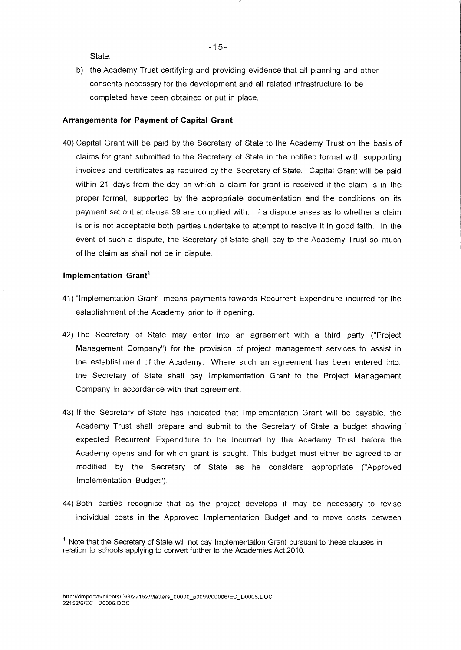State;

b) the Academy Trust certifying and providing evidence that all planning and other consents necessary for the development and all related infrastructure to be completed have been obtained or put in place.

#### **Arrangements for Payment of Capital Grant**

40) Capital Grant will be paid by the Secretary of State to the Academy Trust on the basis of claims for grant submitted to the Secretary of State in the notified format with supporting invoices and certificates as required by the Secretary of State. Capital Grant will be paid within 21 days from the day on which a claim for grant is received if the claim is in the proper format, supported by the appropriate documentation and the conditions on its payment set out at clause 39 are complied with. If a dispute arises as to whether a claim is or is not acceptable both parties undertake to attempt to resolve it in good faith. In the event of such a dispute, the Secretary of State shall pay to the Academy Trust so much of the claim as shall not be in dispute.

#### **Implementation Grantl**

- 41) "Implementation Grant" means payments towards Recurrent Expenditure incurred for the establishment of the Academy prior to it opening.
- 42) The Secretary of State may enter into an agreement with a third party ("Project Management Company") for the provision of project management services to assist in the establishment of the Academy. Where such an agreement has been entered into, the Secretary of State shall pay Implementation Grant to the Project Management Company in accordance with that agreement.
- 43) If the Secretary of State has indicated that Implementation Grant will be payable, the Academy Trust shall prepare and submit to the Secretary of State a budget showing expected Recurrent Expenditure to be incurred by the Academy Trust before the Academy opens and for which grant is sought. This budget must either be agreed to or modified by the Secretary of State as he considers appropriate ("Approved Implementation Budget").
- 44) Both parties recognise that as the project develops it may be necessary to revise individual costs in the Approved Implementation Budget and to move costs between

 $1$  Note that the Secretary of State will not pay Implementation Grant pursuant to these clauses in relation to schools applying to convert further to the Academies Act 2010.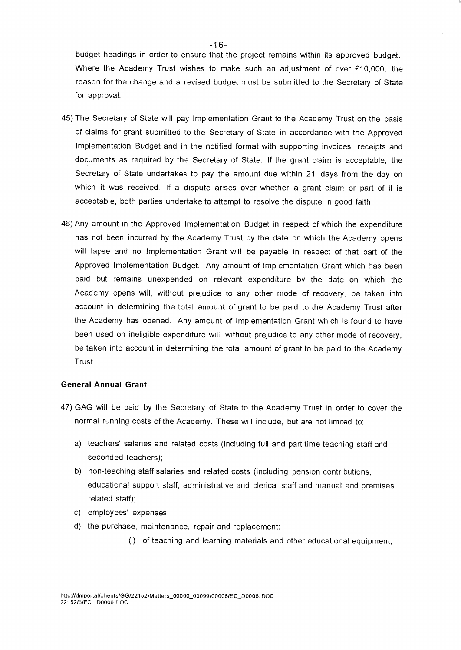budget headings in order to ensure that the project remains within its approved budget. Where the Academy Trust wishes to make such an adjustment of over £10,000, the reason for the change and a revised budget must be submitted to the Secretary of State for approval.

- 45) The Secretary of State will pay Implementation Grant to the Academy Trust on the basis of claims for grant submitted to the Secretary of State in accordance with the Approved Implementation Budget and in the notified format with supporting invoices, receipts and documents as required by the Secretary of State. If the grant claim is acceptable, the Secretary of State undertakes to pay the amount due within 21 days from the day on which it was received. If a dispute arises over whether a grant claim or part of it is acceptable, both parties undertake to attempt to resolve the dispute in good faith.
- 46) Any amount in the Approved Implementation Budget in respect of which the expenditure has not been incurred by the Academy Trust by the date on which the Academy opens will lapse and no Implementation Grant will be payable in respect of that part of the Approved Implementation Budget. Any amount of Implementation Grant which has been paid but remains unexpended on relevant expenditure by the date on which the Academy opens will, without prejudice to any other mode of recovery, be taken into account in determining the total amount of grant to be paid to the Academy Trust after the Academy has opened. Any amount of Implementation Grant which is found to have been used on ineligible expenditure will, without prejudice to any other mode of recovery, be taken into account in determining the total amount of grant to be paid to the Academy Trust.

#### **General Annual Grant**

- 47) GAG will be paid by the Secretary of State to the Academy Trust in order to cover the normal running costs of the Academy. These will include, but are not limited to:
	- a) teachers' salaries and related costs (including full and part time teaching staff and seconded teachers);
	- b) non-teaching staff salaries and related costs (including pension contributions, educational support staff, administrative and clerical staff and manual and premises related staff);
	- c) employees' expenses;
	- d) the purchase, maintenance, repair and replacement:
		- (i) of teaching and learning materials and other educational equipment,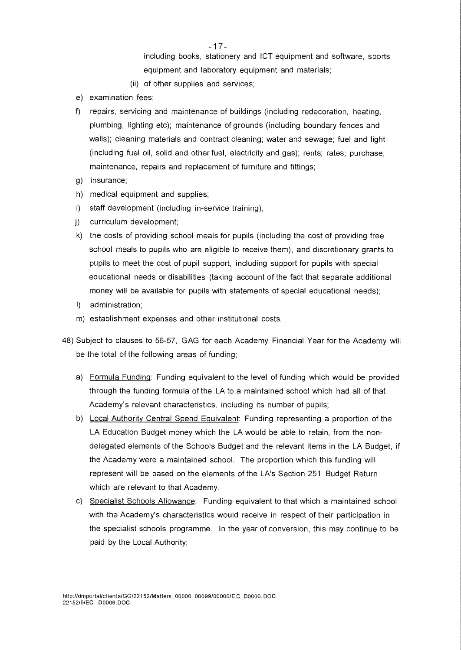including books, stationery and ICT equipment and software, sports equipment and laboratory equipment and materials;

- (ii) of other supplies and services;
- e) examination fees;
- f) repairs, servicing and maintenance of buildings (including redecoration, heating, plumbing, lighting etc); maintenance of grounds (including boundary fences and walls); cleaning materials and contract cleaning; water and sewage; fuel and light (including fuel oil, solid and other fuel, electricity and gas); rents; rates; purchase, maintenance, repairs and replacement of furniture and fittings;
- g) insurance;
- h) medical equipment and supplies;
- i) staff development (including in-service training);
- j) curriculum development;
- k) the costs of providing school meals for pupils (including the cost of providing free school meals to pupils who are eligible to receive them), and discretionary grants to pupils to meet the cost of pupil support, including support for pupils with special educational needs or disabilities (taking account of the fact that separate additional money will be available for pupils with statements of special educational needs);
- I) administration;
- m) establishment expenses and other institutional costs.
- 48) Subject to clauses to 56-57, GAG for each Academy Financial Year for the Academy will be the total of the following areas of funding;
	- a) Formula Funding:Funding equivalent to the level of funding which would be provided through the funding formula of the LA to a maintained school which had all of that Academy's relevant characteristics, including its number of pupils;
	- b) Local Authority Central Spend Equivalent: Funding representing a proportion of the LA Education Budget money which the LA would be able to retain, from the nondelegated elements of the Schools Budget and the relevant items in the LA Budget, if the Academy were a maintained school. The proportion which this funding will represent will be based on the elements of the LA's Section 251 Budget Return which are relevant to that Academy.
	- c) Specialist Schools Allowance: Funding equivalent to that which a maintained school with the Academy's characteristics would receive in respect of their participation in the specialist schools programme. In the year of conversion, this may continue to be paid by the Local Authority;

- 17 -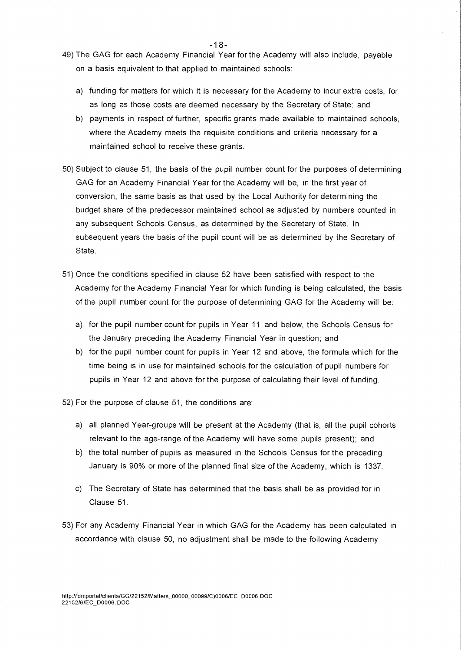- 49) The GAG for each Academy Financial Year for the Academy will also include, payable on a basis equivalent to that applied to maintained schools:
	- a) funding for matters for which it is necessary for the Academy to incur extra costs, for as long as those costs are deemed necessary by the Secretary of State; and
	- b) payments in respect of further, specific grants made available to maintained schools, where the Academy meets the requisite conditions and criteria necessary for a maintained school to receive these grants.
- 50) Subject to clause 51, the basis of the pupil number count for the purposes of determining GAG for an Academy Financial Year for the Academy will be, in the first year of conversion, the same basis as that used by the Local Authority for determining the budget share of the predecessor maintained school as adjusted by numbers counted in any subsequent Schools Census, as determined by the Secretary of State. In subsequent years the basis of the pupil count will be as determined by the Secretary of State.
- 51) Once the conditions specified in clause 52 have been satisfied with respect to the Academy for the Academy Financial Year for which funding is being calculated, the basis of the pupil number count for the purpose of determining GAG for the Academy will be:
	- a) for the pupil number count for pupils in Year 11 and below, the Schools Census for the January preceding the Academy Financial Year in question; and
	- b) for the pupil number count for pupils in Year 12 and above, the formula which for the time being is in use for maintained schools for the calculation of pupil numbers for pupils in Year 12 and above for the purpose of calculating their level of funding.

52) For the purpose of clause 51, the conditions are:

- a) all planned Year-groups will be present at the Academy (that is, all the pupil cohorts relevant to the age-range of the Academy will have some pupils present); and
- b) the total number of pupils as measured in the Schools Census for the preceding January is 90% or more of the planned final size of the Academy, which is 1337.
- c) The Secretary of State has determined that the basis shall be as provided for in Clause 51.
- 53) For any Academy Financial Year in which GAG for the Academy has been calculated in accordance with clause 50, no adjustment shall be made to the following Academy

 $-18-$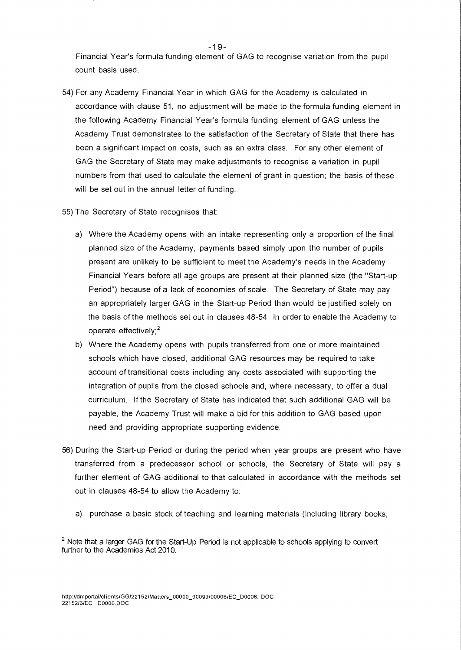Financial Year's formula funding element of GAG to recognise variation from the pupil count basis used.

- 54) For any Academy Financial Year in which GAG for the Academy is calculated in accordance with clause 51, no adjustment will be made to the formula funding element in the following Academy Financial Year's formula funding element of GAG unless the Academy Trust demonstrates to the satisfaction of the Secretary of State that there has been a significant impact on costs, such as an extra class. For any other element of GAG the Secretary of State may make adjustments to recognise a variation in pupil numbers from that used to calculate the element of grant in question; the basis of these will be set out in the annual letter of funding.
- 55) The Secretary of State recognises that:
	- a) Where the Academy opens with an intake representing only a proportion of the final planned size of the Academy, payments based simply upon the number of pupils present are unlikely to be sufficient to meet the Academy's needs in the Academy Financial Years before all age groups are present at their planned size (the "Start-up Period") because of a lack of economies of scale. The Secretary of State may pay an appropriately larger GAG in the Start-up Period than would be justified solely on the basis of the methods set out in clauses 48-54, in order to enable the Academy to operate effectively;<sup>2</sup>
	- b) Where the Academy opens with pupils transferred from one or more maintained schools which have closed, additional GAG resources may be required to take account of transitional costs including any costs associated with supporting the integration of pupils from the closed schools and, where necessary, to offer a dual curriculum. If the Secretary of State has indicated that such additional GAG will be payable, the Academy Trust will make a bid for this addition to GAG based upon need and providing appropriate supporting evidence.
- 56) During the Start-up Period or during the period when year groups are present who have transferred from a predecessor school or schools, the Secretary of State will pay a further element of GAG additional to that calculated in accordance with the methods set out in clauses 48-54 to allow the Academy to:
	- a) purchase a basic stock of teaching and learning materials (including library books,

 $2$  Note that a larger GAG for the Start-Up Period is not applicable to schools applying to convert further to the Academies Act 2010.

 $-19-$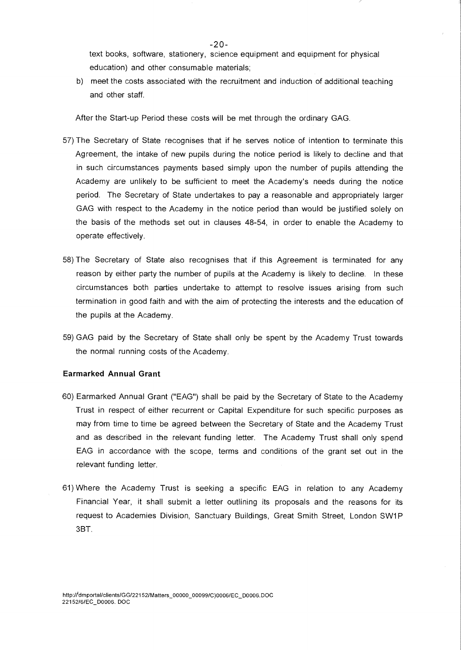text books, software, stationery, science equipment and equipment for physical education) and other consumable materials;

b) meet the costs associated with the recruitment and induction of additional teaching and other staff.

After the Start-up Period these costs will be met through the ordinary GAG.

- 57) The Secretary of State recognises that if he serves notice of intention to terminate this Agreement, the intake of new pupils during the notice period is likely to decline and that in such circumstances payments based simply upon the number of pupils attending the Academy are unlikely to be sufficient to meet the Academy's needs during the notice period. The Secretary of State undertakes to pay a reasonable and appropriately larger GAG with respect to the Academy in the notice period than would be justified solely on the basis of the methods set out in clauses 48-54, in order to enable the Academy to operate effectively.
- 58) The Secretary of State also recognises that if this Agreement is terminated for any reason by either party the number of pupils at the Academy is likely to decline. In these circumstances both parties undertake to attempt to resolve issues arising from such termination in good faith and with the aim of protecting the interests and the education of the pupils at the Academy.
- 59) GAG paid by the Secretary of State shall only be spent by the Academy Trust towards the normal running costs of the Academy.

# **Earmarked Annual Grant**

- 60) Earmarked Annual Grant ("EAG") shall be paid by the Secretary of State to the Academy Trust in respect of either recurrent or Capital Expenditure for such specific purposes as may from time to time be agreed between the Secretary of State and the Academy Trust and as described in the relevant funding letter. The Academy Trust shall only spend EAG in accordance with the scope, terms and conditions of the grant set out in the relevant funding letter.
- 61) Where the Academy Trust is seeking a specific EAG in relation to any Academy Financial Year, it shall submit a letter outlining its proposals and the reasons for its request to Academies Division, Sanctuary Buildings, Great Smith Street, London SW1P 3BT.

 $-20 -$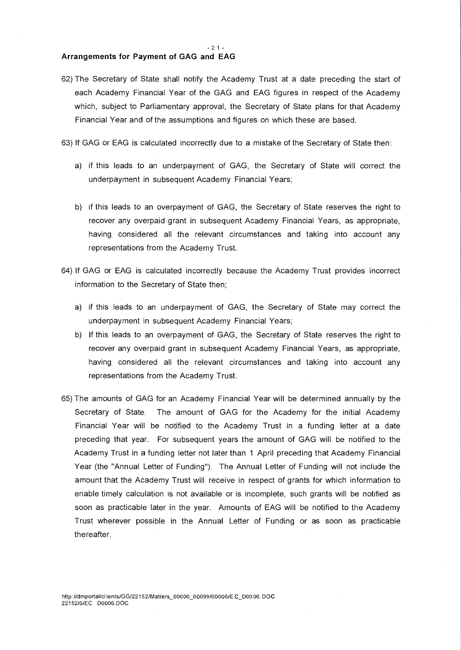#### **Arrangements for Payment of GAG and EAG**

- 62) The Secretary of State shall notify the Academy Trust at a date preceding the start of each Academy Financial Year of the GAG and EAG figures in respect of the Academy which, subject to Parliamentary approval, the Secretary of State plans for that Academy Financial Year and of the assumptions and figures on which these are based.
- 63) If GAG or EAG is calculated incorrectly due to a mistake of the Secretary of State then:
	- a) if this leads to an underpayment of GAG, the Secretary of State will correct the underpayment in subsequent Academy Financial Years;
	- b) if this leads to an overpayment of GAG, the Secretary of State reserves the right to recover any overpaid grant in subsequent Academy Financial Years, as appropriate, having considered all the relevant circumstances and taking into account any representations from the Academy Trust.
- 64) If GAG or EAG is calculated incorrectly because the Academy Trust provides incorrect information to the Secretary of State then;
	- a) if this leads to an underpayment of GAG, the Secretary of State may correct the underpayment in subsequent Academy Financial Years;
	- b) If this leads to an overpayment of GAG, the Secretary of State reserves the right to recover any overpaid grant in subsequent Academy Financial Years, as appropriate, having considered all the relevant circumstances and taking into account any representations from the Academy Trust.
- 65) The amounts of GAG for an Academy Financial Year will be determined annually by the Secretary of State. The amount of GAG for the Academy for the initial Academy Financial Year will be notified to the Academy Trust in a funding letter at a date preceding that year. For subsequent years the amount of GAG will be notified to the Academy Trust in a funding letter not later than 1 April preceding that Academy Financial Year (the "Annual Letter of Funding"). The Annual Letter of Funding will not include the amount that the Academy Trust will receive in respect of grants for which information to enable timely calculation is not available or is incomplete, such grants will be notified as soon as practicable later in the year. Amounts of EAG will be notified to the Academy Trust wherever possible in the Annual Letter of Funding or as soon as practicable thereafter.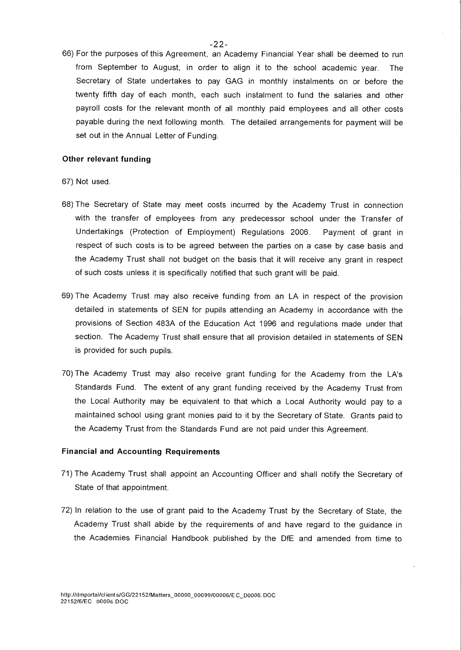- $-22-$
- 66) For the purposes of this Agreement, an Academy Financial Year shall be deemed to run from September to August, in order to align it to the school academic year. The Secretary of State undertakes to pay GAG in monthly instalments on or before the twenty fifth day of each month, each such instalment to fund the salaries and other payroll costs for the relevant month of all monthly paid employees and all other costs payable during the next following month. The detailed arrangements for payment will be set out in the Annual Letter of Funding.

#### **Other relevant funding**

#### 67) Not used.

- 68) The Secretary of State may meet costs incurred by the Academy Trust in connection with the transfer of employees from any predecessor school under the Transfer of Undertakings (Protection of Employment) Regulations 2006. Payment of grant in respect of such costs is to be agreed between the parties on a case by case basis and the Academy Trust shall not budget on the basis that it will receive any grant in respect of such costs unless it is specifically notified that such grant will be paid.
- 69) The Academy Trust may also receive funding from an LA in respect of the provision detailed in statements of SEN for pupils attending an Academy in accordance with the provisions of Section 483A of the Education Act 1996 and regulations made under that section. The Academy Trust shall ensure that all provision detailed in statements of SEN is provided for such pupils.
- 70) The Academy Trust may also receive grant funding for the Academy from the LA's Standards Fund. The extent of any grant funding received by the Academy Trust from the Local Authority may be equivalent to that which a Local Authority would pay to a maintained school using grant monies paid to it by the Secretary of State. Grants paid to the Academy Trust from the Standards Fund are not paid under this Agreement.

#### **Financial and Accounting Requirements**

- 71) The Academy Trust shall appoint an Accounting Officer and shall notify the Secretary of State of that appointment.
- 72) In relation to the use of grant paid to the Academy Trust by the Secretary of State, the Academy Trust shall abide by the requirements of and have regard to the guidance in the Academies Financial Handbook published by the DfE and amended from time to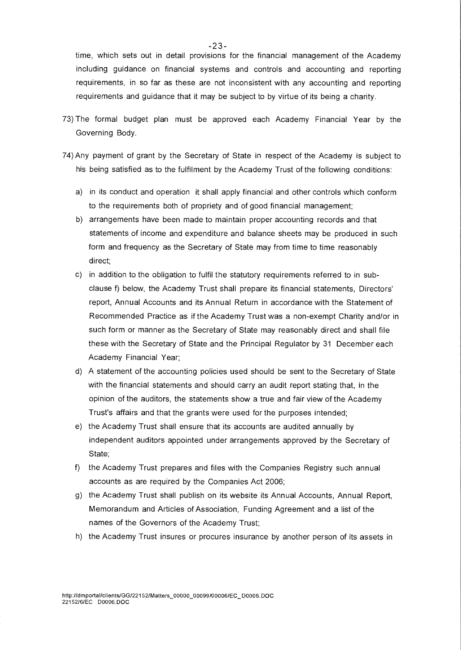time, which sets out in detail provisions for the financial management of the Academy including guidance on financial systems and controls and accounting and reporting requirements, in so far as these are not inconsistent with any accounting and reporting requirements and guidance that it may be subject to by virtue of its being a charity.

- 73) The formal budget plan must be approved each Academy Financial Year by the Governing Body.
- 74) Any payment of grant by the Secretary of State in respect of the Academy is subject to his being satisfied as to the fulfilment by the Academy Trust of the following conditions:
	- a) in its conduct and operation it shall apply financial and other controls which conform to the requirements both of propriety and of good financial management;
	- b) arrangements have been made to maintain proper accounting records and that statements of income and expenditure and balance sheets may be produced in such form and frequency as the Secretary of State may from time to time reasonably direct;
	- c) in addition to the obligation to fulfil the statutory requirements referred to in subclause f) below, the Academy Trust shall prepare its financial statements, Directors' report, Annual Accounts and its Annual Return in accordance with the Statement of Recommended Practice as if the Academy Trust was a non-exempt Charity and/or in such form or manner as the Secretary of State may reasonably direct and shall file these with the Secretary of State and the Principal Regulator by 31 December each Academy Financial Year;
	- d) A statement of the accounting policies used should be sent to the Secretary of State with the financial statements and should carry an audit report stating that, in the opinion of the auditors, the statements show a true and fair view of the Academy Trust's affairs and that the grants were used for the purposes intended;
	- e) the Academy Trust shall ensure that its accounts are audited annually by independent auditors appointed under arrangements approved by the Secretary of State;
	- f) the Academy Trust prepares and files with the Companies Registry such annual accounts as are required by the Companies Act 2006;
	- g) the Academy Trust shall publish on its website its Annual Accounts, Annual Report, Memorandum and Articles of Association, Funding Agreement and a list of the names of the Governors of the Academy Trust;
	- h) the Academy Trust insures or procures insurance by another person of its assets in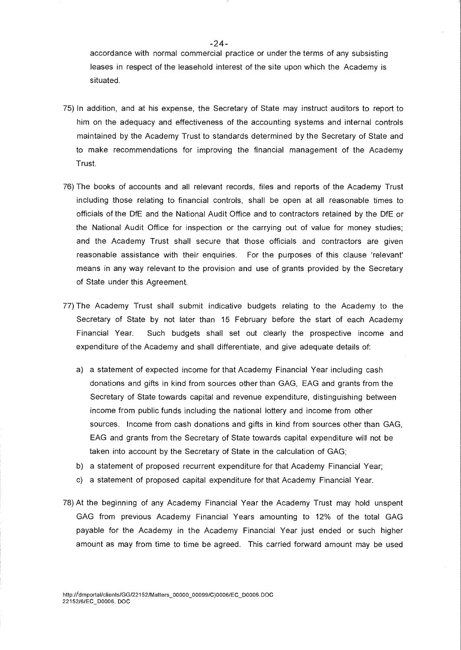accordance with normal commercial practice or under the terms of any subsisting leases in respect of the leasehold interest of the site upon which the Academy is situated.

- 75) In addition, and at his expense, the Secretary of State may instruct auditors to report to him on the adequacy and effectiveness of the accounting systems and internal controls maintained by the Academy Trust to standards determined by the Secretary of State and to make recommendations for improving the financial management of the Academy Trust.
- 76) The books of accounts and all relevant records, files and reports of the Academy Trust including those relating to financial controls, shall be open at all reasonable times to officials of the DfE and the National Audit Office and to contractors retained by the DfE or the National Audit Office for inspection or the carrying out of value for money studies; and the Academy Trust shall secure that those officials and contractors are given reasonable assistance with their enquiries. For the purposes of this clause 'relevant' means in any way relevant to the provision and use of grants provided by the Secretary of State under this Agreement.
- 77) The Academy Trust shall submit indicative budgets relating to the Academy to the Secretary of State by not later than 15 February before the start of each Academy Financial Year. Such budgets shall set out clearly the prospective income and expenditure of the Academy and shall differentiate, and give adequate details of:
	- a) a statement of expected income for that Academy Financial Year including cash donations and gifts in kind from sources other than GAG, EAG and grants from the Secretary of State towards capital and revenue expenditure, distinguishing between income from public funds including the national lotteny and income from other sources. Income from cash donations and gifts in kind from sources other than GAG, EAG and grants from the Secretary of State towards capital expenditure will not be taken into account by the Secretary of State in the calculation of GAG;
	- b) a statement of proposed recurrent expenditure for that Academy Financial Year;
	- c) a statement of proposed capital expenditure for that Academy Financial Year.
- 78) At the beginning of any Academy Financial Year the Academy Trust may hold unspent GAG from previous Academy Financial Years amounting to 12% of the total GAG payable for the Academy in the Academy Financial Year just ended or such higher amount as may from time to time be agreed. This carried forward amount may be used

 $-24-$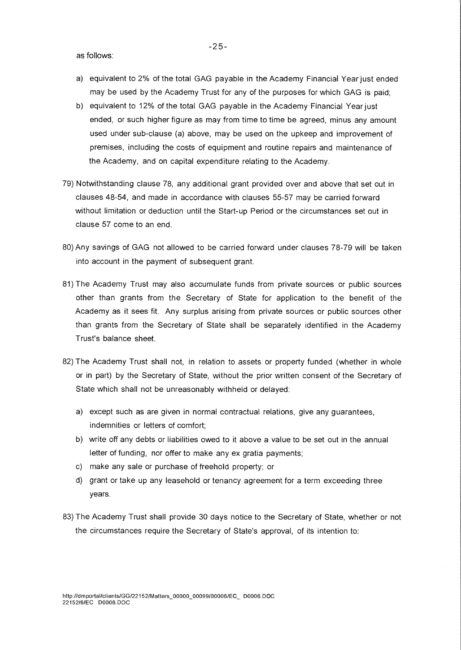as follows:

- a) equivalent to 2% of the total GAG payable in the Academy Financial Year just ended may be used by the Academy Trust for any of the purposes for which GAG is paid;
- b) equivalent to 12% of the total GAG payable in the Academy Financial Year just ended, or such higher figure as may from time to time be agreed, minus any amount used under sub-clause (a) above, may be used on the upkeep and improvement of premises, including the costs of equipment and routine repairs and maintenance of the Academy, and on capital expenditure relating to the Academy.
- 79) Notwithstanding clause 78, any additional grant provided over and above that set out in clauses 48-54, and made in accordance with clauses 55-57 may be carried forward without limitation or deduction until the Start-up Period or the circumstances set out in clause 57 come to an end.
- 80) Any savings of GAG not allowed to be carried forward under clauses 78-79 will be taken into account in the payment of subsequent grant.
- 81) The Academy Trust may also accumulate funds from private sources or public sources other than grants from the Secretary of State for application to the benefit of the Academy as it sees fit. Any surplus arising from private sources or public sources other than grants from the Secretary of State shall be separately identified in the Academy Trust's balance sheet.
- 82) The Academy Trust shall not, in relation to assets or property funded (whether in whole or in part) by the Secretary of State, without the prior written consent of the Secretary of State which shall not be unreasonably withheld or delayed:
	- a) except such as are given in normal contractual relations, give any guarantees, indemnities or letters of comfort;
	- b) write off any debts or liabilities owed to it above a value to be set out in the annual letter of funding, nor offer to make any ex gratia payments;
	- c) make any sale or purchase of freehold property; or
	- d) grant or take up any leasehold or tenancy agreement for a term exceeding three years.
- 83) The Academy Trust shall provide 30 days notice to the Secretary of State, whether or not the circumstances require the Secretary of State's approval, of its intention to: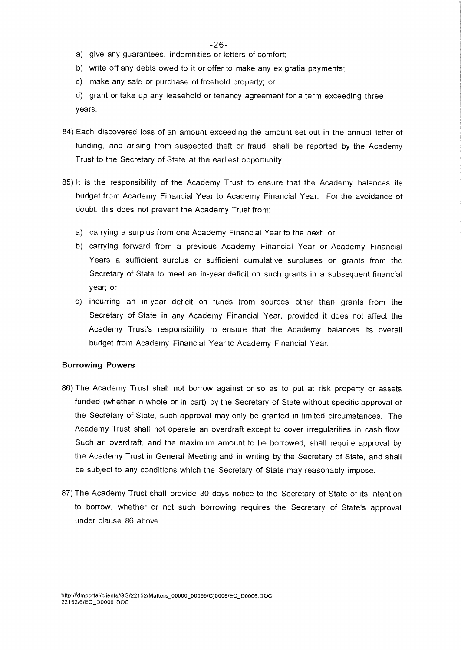- a) give any guarantees, indemnities or letters of comfort;
- b) write off any debts owed to it or offer to make any ex gratia payments;
- c) make any sale or purchase of freehold property; or

d) grant or take up any leasehold or tenancy agreement for a term exceeding three years.

- 84) Each discovered loss of an amount exceeding the amount set out in the annual letter of funding, and arising from suspected theft or fraud, shall be reported by the Academy Trust to the Secretary of State at the earliest opportunity.
- 85) It is the responsibility of the Academy Trust to ensure that the Academy balances its budget from Academy Financial Year to Academy Financial Year. For the avoidance of doubt, this does not prevent the Academy Trust from:
	- a) carrying a surplus from one Academy Financial Year to the next; or
	- b) carrying forward from a previous Academy Financial Year or Academy Financial Years a sufficient surplus or sufficient cumulative surpluses on grants from the Secretary of State to meet an in-year deficit on such grants in a subsequent financial year; or
	- c) incurring an in-year deficit on funds from sources other than grants from the Secretary of State in any Academy Financial Year, provided it does not affect the Academy Trust's responsibility to ensure that the Academy balances its overall budget from Academy Financial Year to Academy Financial Year.

#### **Borrowing Powers**

- 86) The Academy Trust shall not borrow against or so as to put at risk property or assets funded (whether in whole or in part) by the Secretary of State without specific approval of the Secretary of State, such approval may only be granted in limited circumstances. The Academy Trust shall not operate an overdraft except to cover irregularities in cash flow. Such an overdraft, and the maximum amount to be borrowed, shall require approval by the Academy Trust in General Meeting and in writing by the Secretary of State, and shall be subject to any conditions which the Secretary of State may reasonably impose.
- 87) The Academy Trust shall provide 30 days notice to the Secretary of State of its intention to borrow, whether or not such borrowing requires the Secretary of State's approval under clause 86 above.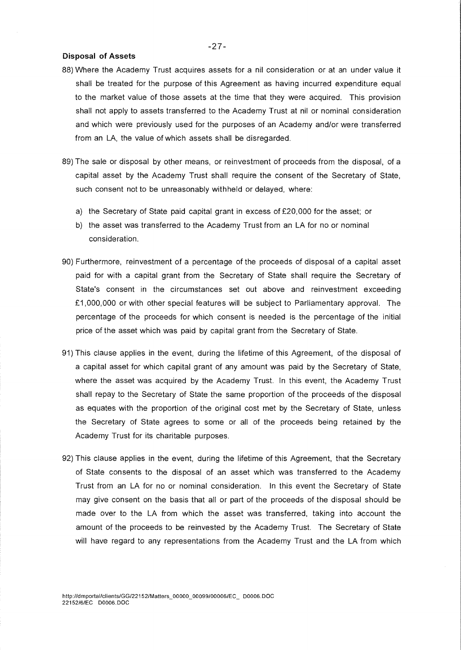## Disposal of Assets

- 88) Where the Academy Trust acquires assets for a nil consideration or at an under value it shall be treated for the purpose of this Agreement as having incurred expenditure equal to the market value of those assets at the time that they were acquired. This provision shall not apply to assets transferred to the Academy Trust at nil or nominal consideration and which were previously used for the purposes of an Academy and/or were transferred from an LA, the value of which assets shall be disregarded.
- 89) The sale or disposal by other means, or reinvestment of proceeds from the disposal, of a capital asset by the Academy Trust shall require the consent of the Secretary of State, such consent not to be unreasonably withheld or delayed, where:
	- a) the Secretary of State paid capital grant in excess of £20,000 for the asset; or
	- b) the asset was transferred to the Academy Trust from an LA for no or nominal consideration.
- 90) Furthermore, reinvestment of a percentage of the proceeds of disposal of a capital asset paid for with a capital grant from the Secretary of State shall require the Secretary of State's consent in the circumstances set out above and reinvestment exceeding £1,000,000 or with other special features will be subject to Parliamentary approval. The percentage of the proceeds for which consent is needed is the percentage of the initial price of the asset which was paid by capital grant from the Secretary of State.
- 91) This clause applies in the event, during the lifetime of this Agreement, of the disposal of a capital asset for which capital grant of any amount was paid by the Secretary of State, where the asset was acquired by the Academy Trust. In this event, the Academy Trust shall repay to the Secretary of State the same proportion of the proceeds of the disposal as equates with the proportion of the original cost met by the Secretary of State, unless the Secretary of State agrees to some or all of the proceeds being retained by the Academy Trust for its charitable purposes.
- 92) This clause applies in the event, during the lifetime of this Agreement, that the Secretary of State consents to the disposal of an asset which was transferred to the Academy Trust from an LA for no or nominal consideration. In this event the Secretary of State may give consent on the basis that all or part of the proceeds of the disposal should be made over to the LA from which the asset was transferred, taking into account the amount of the proceeds to be reinvested by the Academy Trust. The Secretary of State will have regard to any representations from the Academy Trust and the LA from which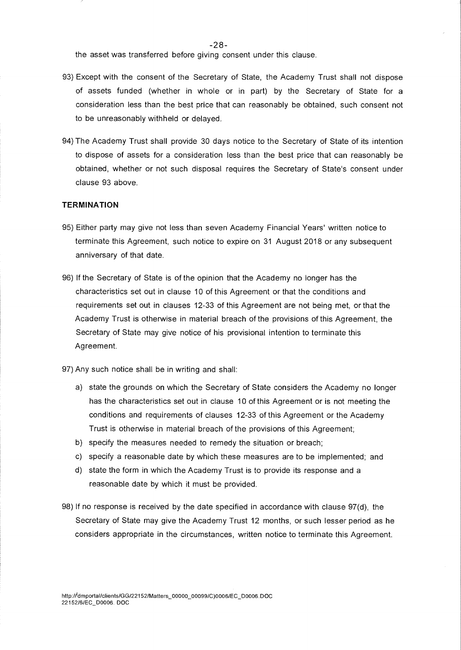-28-

the asset was transferred before giving consent under this clause.

- 93) Except with the consent of the Secretary of State, the Academy Trust shall not dispose of assets funded (whether in whole or in part) by the Secretary of State for a consideration less than the best price that can reasonably be obtained, such consent not to be unreasonably withheld or delayed.
- 94) The Academy Trust shall provide 30 days notice to the Secretary of State of its intention to dispose of assets for a consideration less than the best price that can reasonably be obtained, whether or not such disposal requires the Secretary of State's consent under clause 93 above.

# **TERMINATION**

- 95) Either party may give not less than seven Academy Financial Years' written notice to terminate this Agreement, such notice to expire on 31 August 2018 or any subsequent anniversary of that date.
- 96) If the Secretary of State is of the opinion that the Academy no longer has the characteristics set out in clause 10 of this Agreement or that the conditions and requirements set out in clauses 12-33 of this Agreement are not being met, or that the Academy Trust is otherwise in material breach of the provisions of this Agreement, the Secretary of State may give notice of his provisional intention to terminate this Agreement.
- 97) Any such notice shall be in writing and shall:
	- a) state the grounds on which the Secretary of State considers the Academy no longer has the characteristics set out in clause 10 of this Agreement or is not meeting the conditions and requirements of clauses 12-33 of this Agreement or the Academy Trust is otherwise in material breach of the provisions of this Agreement;
	- b) specify the measures needed to remedy the situation or breach;
	- c) specify a reasonable date by which these measures are to be implemented; and
	- d) state the form in which the Academy Trust is to provide its response and a reasonable date by which it must be provided.
- 98) If no response is received by the date specified in accordance with clause 97(d), the Secretary of State may give the Academy Trust 12 months, or such lesser period as he considers appropriate in the circumstances, written notice to terminate this Agreement.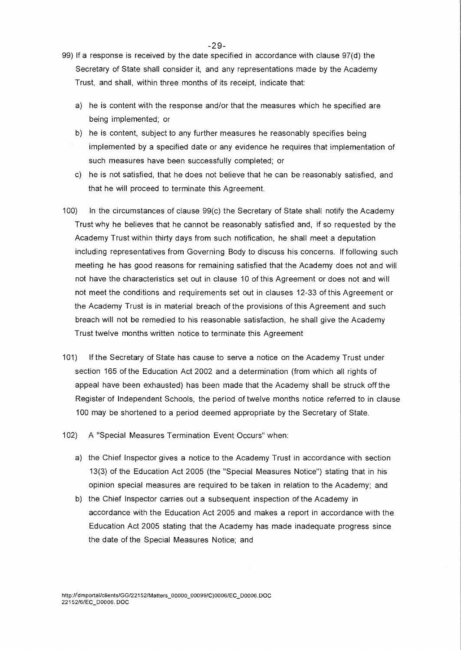- 99) If a response is received by the date specified in accordance with clause 97(d) the Secretary of State shall consider it, and any representations made by the Academy Trust, and shall, within three months of its receipt, indicate that:
	- a) he is content with the response and/or that the measures which he specified are being implemented; or
	- b) he is content, subject to any further measures he reasonably specifies being implemented by a specified date or any evidence he requires that implementation of such measures have been successfully completed; or
	- c) he is not satisfied, that he does not believe that he can be reasonably satisfied, and that he will proceed to terminate this Agreement.
- 100) In the circumstances of clause 99(c) the Secretary of State shall notify the Academy Trust why he believes that he cannot be reasonably satisfied and, if so requested by the Academy Trust within thirty days from such notification, he shall meet a deputation including representatives from Governing Body to discuss his concerns. If following such meeting he has good reasons for remaining satisfied that the Academy does not and will not have the characteristics set out in clause 10 of this Agreement or does not and will not meet the conditions and requirements set out in clauses 12-33 of this Agreement or the Academy Trust is in material breach of the provisions of this Agreement and such breach will not be remedied to his reasonable satisfaction, he shall give the Academy Trust twelve months written notice to terminate this Agreement
- 101) If the Secretary of State has cause to serve a notice on the Academy Trust under section 165 of the Education Act 2002 and a determination (from which all rights of appeal have been exhausted) has been made that the Academy shall be struck off the Register of Independent Schools, the period of twelve months notice referred to in clause 100 may be shortened to a period deemed appropriate by the Secretary of State.
- 102) A "Special Measures Termination Event Occurs" when:
	- a) the Chief Inspector gives a notice to the Academy Trust in accordance with section 13(3) of the Education Act 2005 (the "Special Measures Notice") stating that in his opinion special measures are required to be taken in relation to the Academy; and
	- b) the Chief Inspector carries out a subsequent inspection of the Academy in accordance with the Education Act 2005 and makes a report in accordance with the Education Act 2005 stating that the Academy has made inadequate progress since the date of the Special Measures Notice; and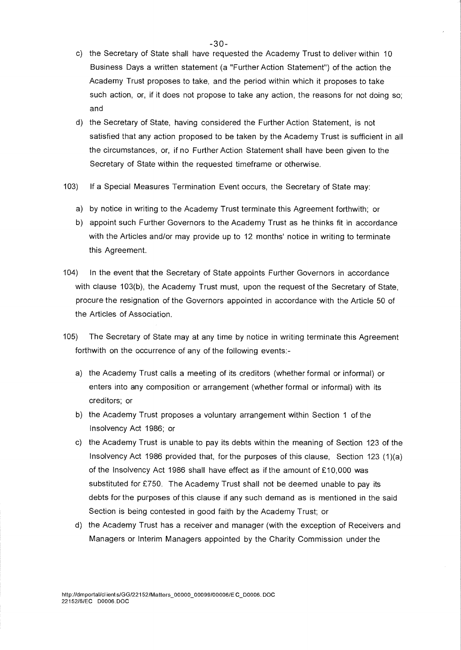- $-30-$
- c) the Secretary of State shall have requested the Academy Trust to deliver within 10 Business Days a written statement (a "Further Action Statement") of the action the Academy Trust proposes to take, and the period within which it proposes to take such action, or, if it does not propose to take any action, the reasons for not doing so; and
- d) the Secretary of State, having considered the Further Action Statement, is not satisfied that any action proposed to be taken by the Academy Trust is sufficient in all the circumstances, or, if no Further Action Statement shall have been given to the Secretary of State within the requested timeframe or otherwise.
- 103) If a Special Measures Termination Event occurs, the Secretary of State may:
	- a) by notice in writing to the Academy Trust terminate this Agreement forthwith; or
	- b) appoint such Further Governors to the Academy Trust as he thinks fit in accordance with the Articles and/or may provide up to 12 months' notice in writing to terminate this Agreement.
- 104) In the event that the Secretary of State appoints Further Governors in accordance with clause 103(b), the Academy Trust must, upon the request of the Secretary of State, procure the resignation of the Governors appointed in accordance with the Article 50 of the Articles of Association.
- 105) The Secretary of State may at any time by notice in writing terminate this Agreement forthwith on the occurrence of any of the following events:
	- a) the Academy Trust calls a meeting of its creditors (whether formal or informal) or enters into any composition or arrangement (whether formal or informal) with its creditors; or
	- b) the Academy Trust proposes a voluntary arrangement within Section 1 of the Insolvency Act 1986; or
	- c) the Academy Trust is unable to pay its debts within the meaning of Section 123 of the Insolvency Act 1986 provided that, for the purposes of this clause, Section 123 (1)(a) of the Insolvency Act 1986 shall have effect as if the amount of £10,000 was substituted for £750. The Academy Trust shall not be deemed unable to pay its debts for the purposes of this clause if any such demand as is mentioned in the said Section is being contested in good faith by the Academy Trust; or
	- d) the Academy Trust has a receiver and manager (with the exception of Receivers and Managers or Interim Managers appointed by the Charity Commission under the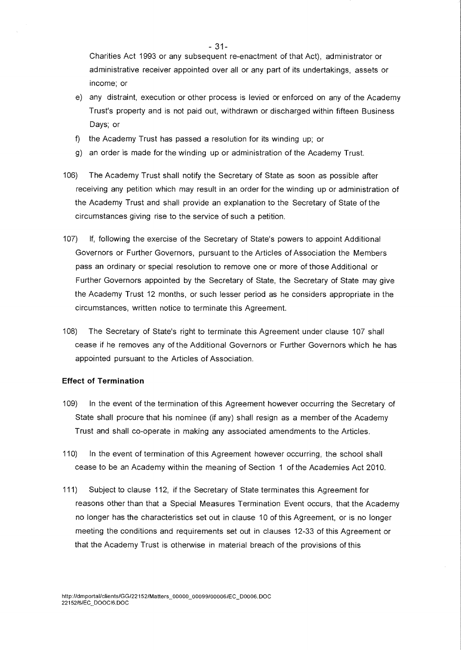Charities Act 1993 or any subsequent re-enactment of that Act), administrator or administrative receiver appointed over all or any part of its undertakings, assets or income; or

- e) any distraint, execution or other process is levied or enforced on any of the Academy Trust's property and is not paid out, withdrawn or discharged within fifteen Business Days; Or
- f) the Academy Trust has passed a resolution for its winding up; or
- g) an order is made for the winding up or administration of the Academy Trust.
- 106) The Academy Trust shall notify the Secretary of State as soon as possible after receiving any petition which may result in an order for the winding up or administration of the Academy Trust and shall provide an explanation to the Secretary of State of the circumstances giving rise to the service of such a petition.
- 107) lf, following the exercise of the Secretary of State's powers to appoint Additional Governors or Further Governors, pursuant to the Articles of Association the Members pass an ordinary or special resolution to remove one or more of those Additional or Further Governors appointed by the Secretary of State, the Secretary of State may give the Academy Trust 12 months, or such lesser period as he considers appropriate in the circumstances, written notice to terminate this Agreement.
- 108) The Secretary of State's right to terminate this Agreement under clause 107 shall cease if he removes any of the Additional Governors or Further Governors which he has appointed pursuant to the Articles of Association.

## **Effect of Termination**

- 109) In the event of the termination of this Agreement however occurring the Secretary of State shall procure that his nominee (if any) shall resign as a member of the Academy Trust and shall co-operate in making any associated amendments to the Articles.
- 110) In the event of termination of this Agreement however occurring, the school shall cease to be an Academy within the meaning of Section 1 of the Academies Act 2010.
- 111) Subject to clause 112, if the Secretary of State terminates this Agreement for reasons other than that a Special Measures Termination Event occurs, that the Academy no longer has the characteristics set out in clause 10 of this Agreement, or is no longer meeting the conditions and requirements set out in clauses 12-33 of this Agreement or that the Academy Trust is otherwise in material breach of the provisions of this

- 31-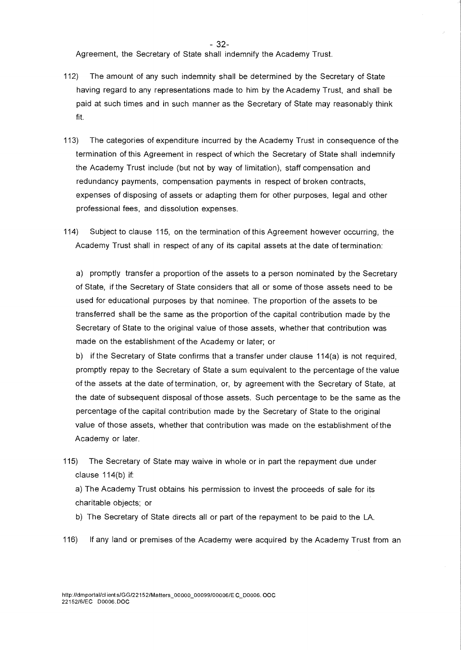- 32-

Agreement, the Secretary of State shall indemnify the Academy Trust.

- 112) The amount of any such indemnity shall be determined by the Secretary of State having regard to any representations made to him by the Academy Trust, and shall be paid at such times and in such manner as the Secretary of State may reasonably think fit.
- 113) The categories of expenditure incurred by the Academy Trust in consequence of the termination of this Agreement in respect of which the Secretary of State shall indemnify the Academy Trust include (but not by way of limitation), staff compensation and redundancy payments, compensation payments in respect of broken contracts, expenses of disposing of assets or adapting them for other purposes, legal and other professional fees, and dissolution expenses.
- 114) Subject to clause 115, on the termination of this Agreement however occurring, the Academy Trust shall in respect of any of its capital assets at the date of termination:

a) promptly transfer a proportion of the assets to a person nominated by the Secretary of State, if the Secretary of State considers that all or some of those assets need to be used for educational purposes by that nominee. The proportion of the assets to be transferred shall be the same as the proportion of the capital contribution made by the Secretary of State to the original value of those assets, whether that contribution was made on the establishment of the Academy or later; or

b) if the Secretary of State confirms that a transfer under clause 114(a) is not required, promptly repay to the Secretary of State a sum equivalent to the percentage of the value of the assets at the date of termination, or, by agreement with the Secretary of State, at the date of subsequent disposal of those assets. Such percentage to be the same as the percentage of the capital contribution made by the Secretary of State to the original value of those assets, whether that contribution was made on the establishment of the Academy or later.

115) The Secretary of State may waive in whole or in part the repayment due under clause 114(b) if:

a) The Academy Trust obtains his permission to invest the proceeds of sale for its charitable objects; or

b) The Secretary of State directs all or part of the repayment to be paid to the LA.

116) If any land or premises of the Academy were acquired by the Academy Trust from an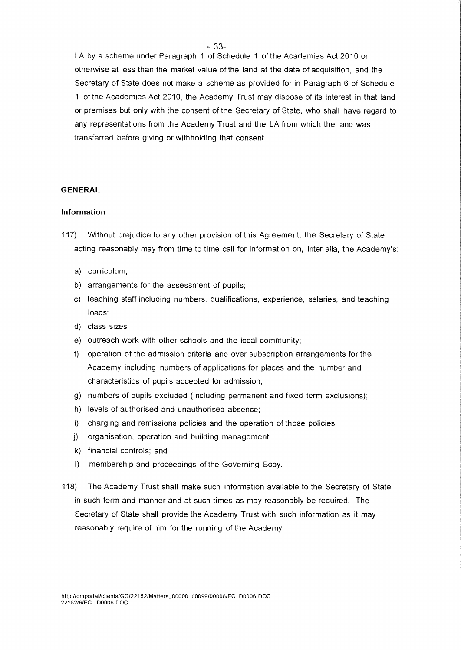LA by a scheme under Paragraph 1 of Schedule 1 of the Academies Act 2010 or otherwise at less than the market value of the land at the date of acquisition, and the Secretary of State does not make a scheme as provided for in Paragraph 6 of Schedule 1 of the Academies Act 2010, the Academy Trust may dispose of its interest in that land or premises but only with the consent of the Secretary of State, who shall have regard to any representations from the Academy Trust and the LA from which the land was transferred before giving or withholding that consent.

# GENERAL

# Information

- 117) Without prejudice to any other provision of this Agreement, the Secretary of State acting reasonably may from time to time call for information on, inter alia, the Academy's:
	- a) curriculum;
	- b) arrangements for the assessment of pupils;
	- c) teaching staff including numbers, qualifications, experience, salaries, and teaching loads;
	- d) class sizes;
	- e) outreach work with other schools and the local community;
	- f) operation of the admission criteria and over subscription arrangements for the Academy including numbers of applications for places and the number and characteristics of pupils accepted for admission;
	- g) numbers of pupils excluded (including permanent and fixed term exclusions);
	- h) levels of authorised and unauthorised absence;
	- i) charging and remissions policies and the operation of those policies;
	- j) organisation, operation and building management;
	- k) financial controls; and
	- I) membership and proceedings of the Governing Body.
- 118) The Academy Trust shall make such information available to the Secretary of State, in such form and manner and at such times as may reasonably be required. The Secretary of State shall provide the Academy Trust with such information as it may reasonably require of him for the running of the Academy.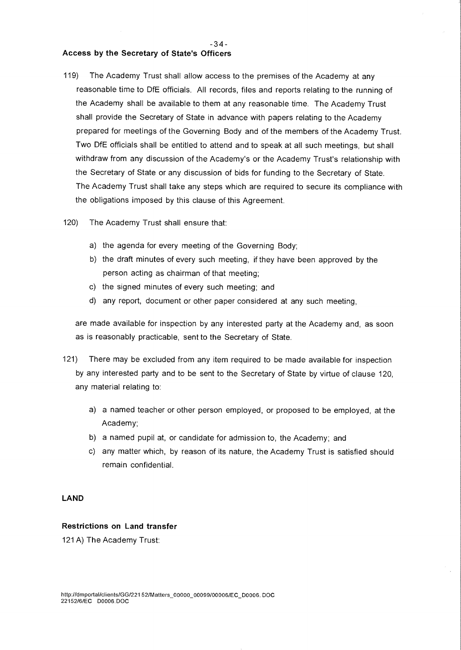# **Access by the Secretary of State's Officers**

119) The Academy Trust shall allow access to the premises of the Academy at any reasonable time to DfE officials. All records, files and reports relating to the running of the Academy shall be available to them at any reasonable time. The Academy Trust shall provide the Secretary of State in advance with papers relating to the Academy prepared for meetings of the Governing Body and of the members of the Academy Trust. Two DfE officials shall be entitled to attend and to speak at all such meetings, but shall withdraw from any discussion of the Academy's or the Academy Trust's relationship with the Secretary of State or any discussion of bids for funding to the Secretary of State. The Academy Trust shall take any steps which are required to secure its compliance with the obligations imposed by this clause of this Agreement.

- 3 4 **-** 

- 120) The Academy Trust shall ensure that:
	- a) the agenda for every meeting of the Governing Body;
	- b) the draft minutes of every such meeting, if they have been approved by the person acting as chairman of that meeting;
	- c) the signed minutes of every such meeting; and
	- d) any report, document or other paper considered at any such meeting,

are made available for inspection by any interested party at the Academy and, as soon as is reasonably practicable, sent to the Secretary of State.

- 121) There may be excluded from any item required to be made available for inspection by any interested party and to be sent to the Secretary of State by virtue of clause 120, any material relating to:
	- a) a named teacher or other person employed, or proposed to be employed, at the Academy;
	- b) a named pupil at, or candidate for admission to, the Academy; and
	- c) any matter which, by reason of its nature, the Academy Trust is satisfied should remain confidential.

# **LAND**

# **Restrictions on Land transfer**

121 A) The Academy Trust: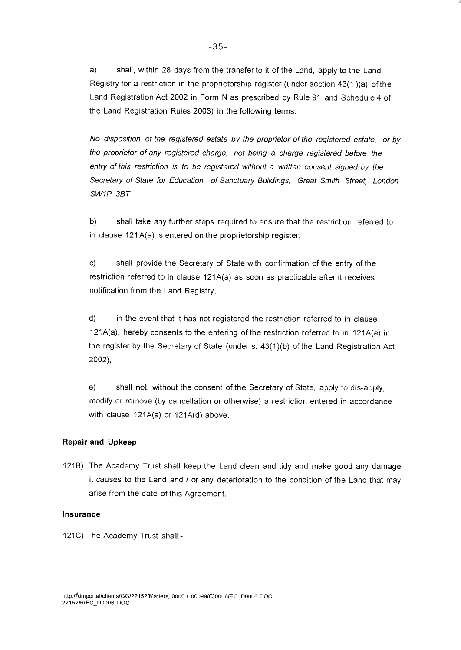a) shall, within 28 days from the transfer to it of the Land, apply to the Land Registry for a restriction in the proprietorship register (under section 43(1 )(a) of the Land Registration Act 2002 in Form **N** as prescribed by Rule 91 and Schedule 4 of the Land Registration Rules 2003) in the following terms:

No disposition of the registered estate by the proprietor of the registered estate, or by the proprietor of any registered charge, not being a charge registered before the entry of this restriction is to be registered without a written consent signed by the Secretary of State for Education, of Sanctuary Buildings, Great Smith Street, London SW1P 3BT

b) shall take any further steps required to ensure that the restriction referred to in clause 121 A(a) is entered on the proprietorship register,

c) shall provide the Secretary of State with confirmation of the entry of the restriction referred to in clause 121A(a) as soon as practicable after it receives notification from the Land Registry,

d) in the event that it has not registered the restriction referred to in clause 121A(a), hereby consents to the entering of the restriction referred to in 121A(a) in the register by the Secretary of State (under s. 43(1)(b) of the Land Registration Act 2002),

e) shall not, without the consent of the Secretary of State, apply to dis-apply, modify or remove (by cancellation or otherwise) a restriction entered in accordance with clause 121A(a) or 121A(d) above.

#### **Repair and Upkeep**

121B) The Academy Trust shall keep the Land clean and tidy and make good any damage it causes to the Land and / or any deterioration to the condition of the Land that may arise from the date of this Agreement.

## **Insurance**

121C) The Academy Trust shall:-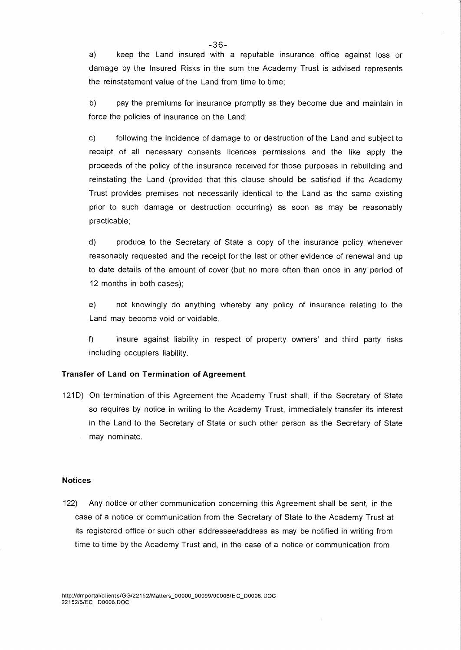a) keep the Land insured with a reputable insurance office against loss or damage by the Insured Risks in the sum the Academy Trust is advised represents the reinstatement value of the Land from time to time;

b) pay the premiums for insurance promptly as they become due and maintain in force the policies of insurance on the Land;

c) following the incidence of damage to or destruction of the Land and subject to receipt of all necessary consents licences permissions and the like apply the proceeds of the policy of the insurance received for those purposes in rebuilding and reinstating the Land (provided that this clause should be satisfied if the Academy Trust provides premises not necessarily identical to the Land as the same existing prior to such damage or destruction occurring) as soon as may be reasonably practicable;

d) produce to the Secretary of State a copy of the insurance policy whenever reasonably requested and the receipt for the last or other evidence of renewal and up to date details of the amount of cover (but no more often than once in any period of 12 months in both cases);

e) not knowingly do anything whereby any policy of insurance relating to the Land may become void or voidable.

 $f$ insure against liability in respect of property owners' and third party risks including occupiers liability.

# **Transfer of Land on Termination of Agreement**

121D) On termination of this Agreement the Academy Trust shall, if the Secretary of State so requires by notice in writing to the Academy Trust, immediately transfer its interest in the Land to the Secretary of State or such other person as the Secretary of State may nominate.

# **Notices**

122) Any notice or other communication concerning this Agreement shall be sent, in the case of a notice or communication from the Secretary of State to the Academy Trust at its registered office or such other addressee/address as may be notified in writing from time to time by the Academy Trust and, in the case of a notice or communication from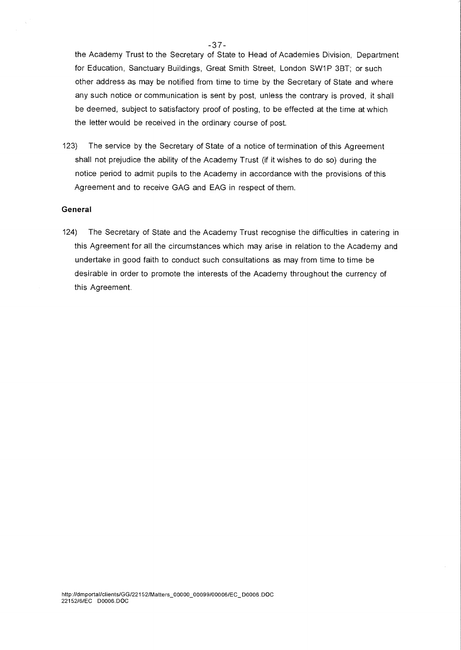the Academy Trust to the Secretary of State to Head of Academies Division, Department for Education, Sanctuary Buildings, Great Smith Street, London SW1P 3BT; or such other address as may be notified from time to time by the Secretary of State and where any such notice or communication is sent by post, unless the contrary is proved, it shall be deemed, subject to satisfactory proof of posting, to be effected at the time at which the letter would be received in the ordinary course of post.

123) The service by the Secretary of State of a notice of termination of this Agreement shall not prejudice the ability of the Academy Trust (if it wishes to do so) during the notice period to admit pupils to the Academy in accordance with the provisions of this Agreement and to receive GAG and EAG in respect of them.

#### General

124) The Secretary of State and the Academy Trust recognise the difficulties in catering in this Agreement for all the circumstances which may arise in relation to the Academy and undertake in good faith to conduct such consultations as may from time to time be desirable in order to promote the interests of the Academy throughout the currency of this Agreement.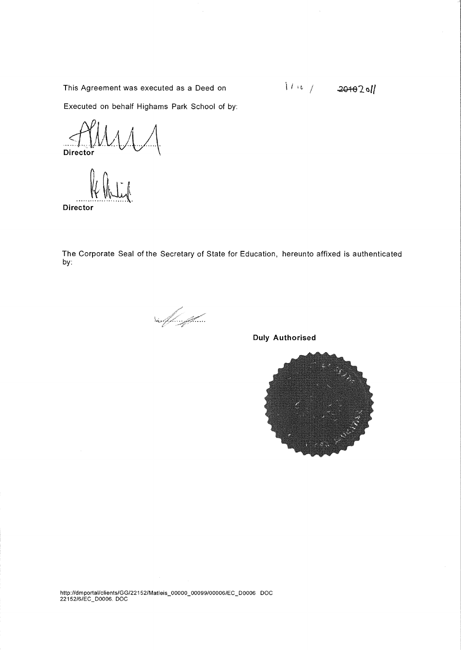This Agreement was executed as a Deed on **Example 201432011** 

Executed on behalf Highams Park School of by:

**Director** 

The Corporate Seal of the Secretary of State for Education, hereunto affixed is authenticated by:

suffinit

**Duly Authorised** 



http://dmportal/clients/GG/22152/Matleis\_00000\_00099/00006/EC\_D0006 DOC 22152/6/EC\_D0006. DOC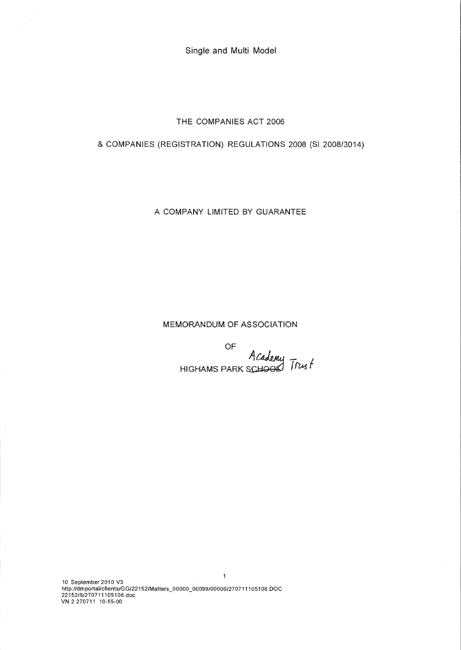Single and Multi Model

THE COMPANIES ACT 2006

& COMPANIES (REGISTRATION) REGULATIONS 2008 (SI 2008/3014)

A COMPANY LIMITED BY GUARANTEE

MEMORANDUM OF ASSOCIATION

OF A Cademy Trust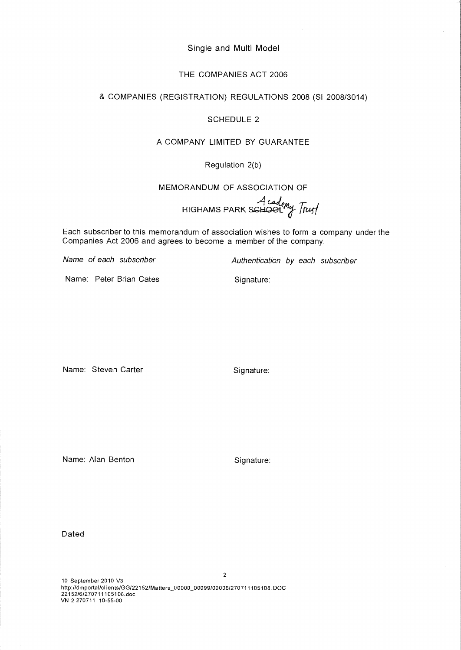Single and Multi Model

# THE COMPANIES ACT 2006

# & COMPANIES (REGISTRATION) REGULATIONS 2008 (SI 2008/3014)

# SCHEDULE 2

# A COMPANY LIMITED BY GUARANTEE

# Regulation 2(b)

MEMORANDUM OF ASSOCIATION OF

HIGHAMS PARK SGH.Q.91\_ *Flu* 

Each subscriber to this memorandum of association wishes to form a company under the Companies Act 2006 and agrees to become a member of the company.

Name of each subscriber **Authentication by each subscriber** 

Name: Peter Brian Cates **Signature**: Signature:

Name: Steven Carter Signature:

Name: Alan Benton Signature:

Dated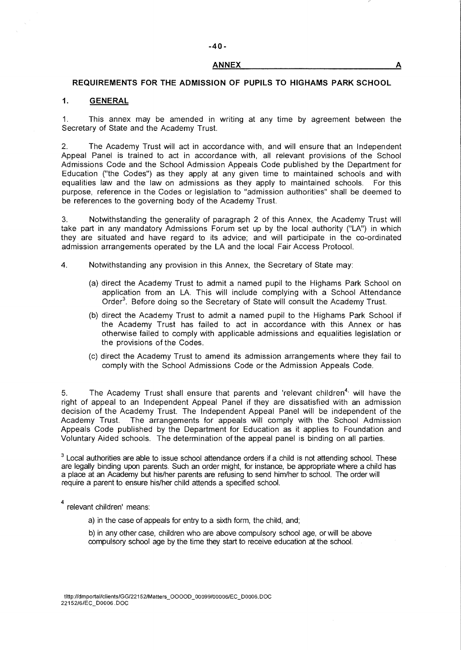#### **ANNEX A**

#### **REQUIREMENTS FOR THE ADMISSION OF PUPILS TO HIGHAMS PARK SCHOOL**

## **1. GENERAL**

1. This annex may be amended in writing at any time by agreement between the Secretary of State and the Academy Trust.

2. The Academy Trust will act in accordance with, and will ensure that an Independent Appeal Panel is trained to act in accordance with, all relevant provisions of the School Admissions Code and the School Admission Appeals Code published by the Department for Education ("the Codes") as they apply at any given time to maintained schools and with equalities law and the law on admissions as they apply to maintained schools. For this purpose, reference in the Codes or legislation to "admission authorities" shall be deemed to be references to the governing body of the Academy Trust.

3. Notwithstanding the generality of paragraph 2 of this Annex, the Academy Trust will take part in any mandatory Admissions Forum set up by the local authority ("LA") in which they are situated and have regard to its advice; and will participate in the co-ordinated admission arrangements operated by the LA and the local Fair Access Protocol.

4. Notwithstanding any provision in this Annex, the Secretary of State may:

- (a) direct the Academy Trust to admit a named pupil to the Highams Park School on application from an LA. This will include complying with a School Attendance Order<sup>3</sup>. Before doing so the Secretary of State will consult the Academy Trust.
- (b) direct the Academy Trust to admit a named pupil to the Highams Park School if the Academy Trust has failed to act in accordance with this Annex or has otherwise failed to comply with applicable admissions and equalities legislation or the provisions of the Codes.
- (c) direct the Academy Trust to amend its admission arrangements where they fail to comply with the School Admissions Code or the Admission Appeals Code.

5. The Academy Trust shall ensure that parents and 'relevant children<sup>4,</sup> will have the right of appeal to an Independent Appeal Panel if they are dissatisfied with an admission decision of the Academy Trust. The Independent Appeal Panel will be independent of the Academy Trust. The arrangements for appeals will comply with the School Admission Appeals Code published by the Department for Education as it applies to Foundation and Voluntary Aided schools. The determination of the appeal panel is binding on all parties.

<sup>3</sup> Local authorities are able to issue school attendance orders if a child is not attending school. These are legally binding upon parents. Such an order might, for instance, be appropriate where a child has a place at an Academy but his/her parents are refusing to send him/her to school. The order will require a parent to ensure his/her child attends a specified school.

4 relevant children' means:

a) in the case of appeals for entry to a sixth form, the child, and;

b) in any other case, children who are above compulsory school age, or will be above compulsory school age by the time they start to receive education at the school.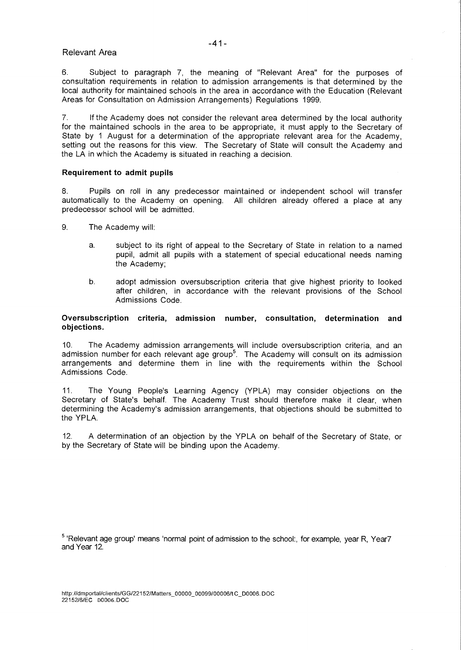# Relevant Area

6. Subject to paragraph 7, the meaning of "Relevant Area" for the purposes of consultation requirements in relation to admission arrangements is that determined by the local authority for maintained schools in the area in accordance with the Education (Relevant Areas for Consultation on Admission Arrangements) Regulations 1999.

7. If the Academy does not consider the relevant area determined by the local authority for the maintained schools in the area to be appropriate, it must apply to the Secretary of State by 1 August for a determination of the appropriate relevant area for the Academy, setting out the reasons for this view. The Secretary of State will consult the Academy and the LA in which the Academy is situated in reaching a decision.

# **Requirement to admit pupils**

8. Pupils on roll in any predecessor maintained or independent school will transfer automatically to the Academy on opening. All children already offered a place at any predecessor school will be admitted.

- 9. The Academy will:
	- a. subject to its right of appeal to the Secretary of State in relation to a named pupil, admit all pupils with a statement of special educational needs naming the Academy;
	- b. adopt admission oversubscription criteria that give highest priority to looked after children, in accordance with the relevant provisions of the School Admissions Code.

## **Oversubscription criteria, admission number, consultation, determination and objections.**

10. The Academy admission arrangements will include oversubscription criteria, and an admission number for each relevant age group<sup>5</sup>. The Academy will consult on its admission arrangements and determine them in line with the requirements within the School Admissions Code.

11. The Young People's Learning Agency (YPLA) may consider objections on the Secretary of State's behalf. The Academy Trust should therefore make it clear, when determining the Academy's admission arrangements, that objections should be submitted to the YPLA.

12. A determination of an objection by the YPLA on behalf of the Secretary of State, or by the Secretary of State will be binding upon the Academy.

<sup>5</sup> 'Relevant age group' means 'normal point of admission to the school:, for example, year R, Year7 and Year 12.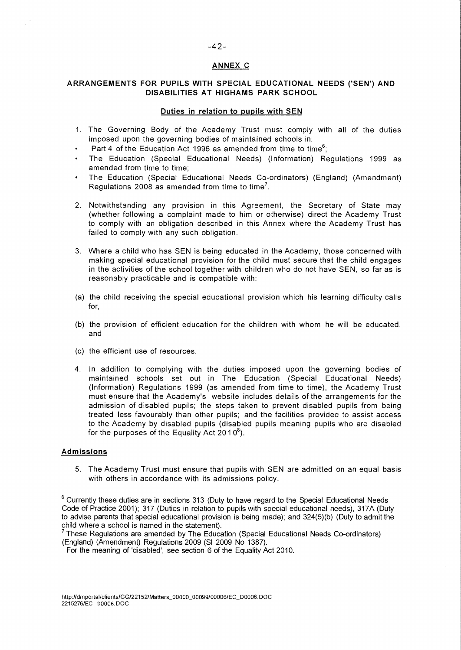#### **ANNEX C**

## **ARRANGEMENTS FOR PUPILS WITH SPECIAL EDUCATIONAL NEEDS ('SEN') AND DISABILITIES AT HIGHAMS PARK SCHOOL**

#### **Duties in relation to pupils with SEN**

- 1. The Governing Body of the Academy Trust must comply with all of the duties imposed upon the governing bodies of maintained schools in:
- Part 4 of the Education Act 1996 as amended from time to time<sup>6</sup>;
- The Education (Special Educational Needs) (Information) Regulations 1999 as amended from time to time;
- The Education (Special Educational Needs Co-ordinators) (England) (Amendment) Regulations 2008 as amended from time to time<sup>7</sup>.
- 2. Notwithstanding any provision in this Agreement, the Secretary of State may (whether following a complaint made to him or otherwise) direct the Academy Trust to comply with an obligation described in this Annex where the Academy Trust has failed to comply with any such obligation.
- 3. Where a child who has SEN is being educated in the Academy, those concerned with making special educational provision for the child must secure that the child engages in the activities of the school together with children who do not have SEN, so far as is reasonably practicable and is compatible with:
- (a) the child receiving the special educational provision which his learning difficulty calls for,
- (b) the provision of efficient education for the children with whom he will be educated, and
- (c) the efficient use of resources.
- 4. In addition to complying with the duties imposed upon the governing bodies of maintained schools set out in The Education (Special Educational Needs) (Information) Regulations 1999 (as amended from time to tinne), the Academy Trust must ensure that the Academy's website includes details of the arrangements for the admission of disabled pupils; the steps taken to prevent disabled pupils from being treated less favourably than other pupils; and the facilities provided to assist access to the Academy by disabled pupils (disabled pupils meaning pupils who are disabled for the purposes of the Equality Act  $2010^8$ ).

#### **Admissions**

5. The Academy Trust must ensure that pupils with SEN are admitted on an equal basis with others in accordance with its admissions policy.

 $6$  Currently these duties are in sections 313 (Duty to have regard to the Special Educational Needs Code of Practice 2001); 317 (Duties in relation to pupils with special educational needs), 317A (Duty to advise parents that special educational provision is being made); and 324(5)(b) (Duty to admit the child where a school is named in the statement).

<sup>7</sup>These Regulations are amended by The Education (Special Educational Needs Co-ordinators) (England) (Amendment) Regulations 2009 (SI 2009 No 1387).

For the meaning of 'disabled', see section 6 of the Equality Act 2010.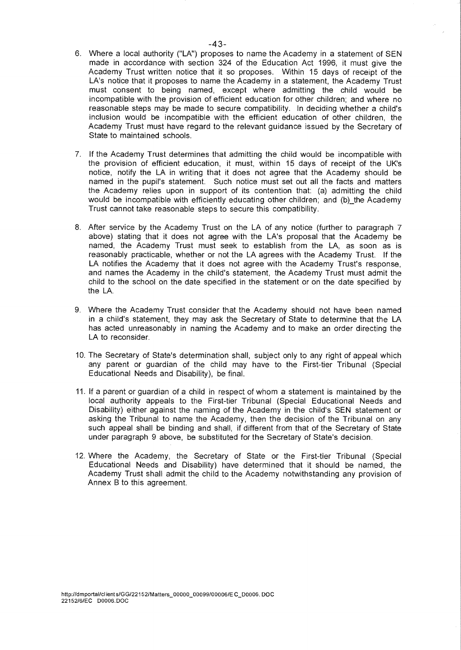- 6. Where a local authority ("LA") proposes to name the Academy in a statement of SEN made in accordance with section 324 of the Education Act 1996, it must give the Academy Trust written notice that it so proposes. Within 15 days of receipt of the LA's notice that it proposes to name the Academy in a statement, the Academy Trust must consent to being named, except where admitting the child would be incompatible with the provision of efficient education for other children; and where no reasonable steps may be made to secure compatibility. In deciding whether a child's inclusion would be incompatible with the efficient education of other children, the Academy Trust must have regard to the relevant guidance issued by the Secretary of State to maintained schools.
- 7. If the Academy Trust determines that admitting the child would be incompatible with the provision of efficient education, it must, within 15 days of receipt of the UK's notice, notify the LA in writing that it does not agree that the Academy should be named in the pupil's statement. Such notice must set out all the facts and matters the Academy relies upon in support of its contention that: (a) admitting the child would be incompatible with efficiently educating other children; and (b) the Academy Trust cannot take reasonable steps to secure this compatibility.
- 8. After service by the Academy Trust on the LA of any notice (further to paragraph 7 above) stating that it does not agree with the LA's proposal that the Academy be named, the Academy Trust must seek to establish from the LA, as soon as is reasonably practicable, whether or not the LA agrees with the Academy Trust. If the LA notifies the Academy that it does not agree with the Academy Trust's response. and names the Academy in the child's statement, the Academy Trust must admit the child to the school on the date specified in the statement or on the date specified by the LA.
- 9. Where the Academy Trust consider that the Academy should not have been named in a child's statement, they may ask the Secretary of State to determine that the LA has acted unreasonably in naming the Academy and to make an order directing the LA to reconsider.
- 10. The Secretary of State's determination shall, subject only to any right of appeal which any parent or guardian of the child may have to the First-tier Tribunal (Special Educational Needs and Disability), be final.
- 11. If a parent or guardian of a child in respect of whom a statement is maintained by the local authority appeals to the First-tier Tribunal (Special Educational Needs and Disability) either against the naming of the Academy in the child's SEN statement or asking the Tribunal to name the Academy, then the decision of the Tribunal on any such appeal shall be binding and shall, if different from that of the Secretary of State under paragraph 9 above, be substituted for the Secretary of State's decision.
- 12. Where the Academy, the Secretary of State or the First-tier Tribunal (Special Educational Needs and Disability) have determined that it should be named, the Academy Trust shall admit the child to the Academy notwithstanding any provision of Annex B to this agreement.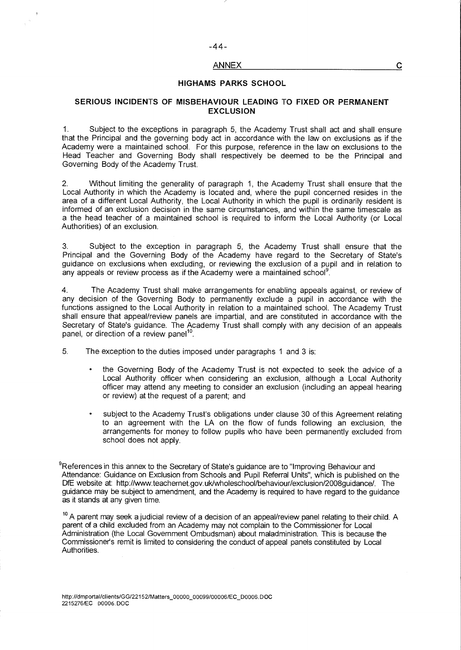#### ANNEX

#### **HIGHAMS PARKS SCHOOL**

## **SERIOUS INCIDENTS OF MISBEHAVIOUR LEADING TO FIXED OR PERMANENT EXCLUSION**

1. Subject to the exceptions in paragraph 5, the Academy Trust shall act and shall ensure that the Principal and the governing body act in accordance with the law on exclusions as if the Academy were a maintained school. For this purpose, reference in the law on exclusions to the Head Teacher and Governing Body shall respectively be deemed to be the Principal and Governing Body of the Academy Trust.

2. Without limiting the generality of paragraph 1, the Academy Trust shall ensure that the Local Authority in which the Academy is located and, where the pupil concerned resides in the area of a different Local Authority, the Local Authority in which the pupil is ordinarily resident is informed of an exclusion decision in the same circumstances, and within the same timescale as a the head teacher of a maintained school is required to inform the Local Authority (or Local Authorities) of an exclusion.

3. Subject to the exception in paragraph 5, the Academy Trust shall ensure that the Principal and the Governing Body of the Academy have regard to the Secretary of State's guidance on exclusions when excluding, or reviewing the exclusion of a pupil and in relation to any appeals or review process as if the Academy were a maintained school<sup>9</sup>.

4. The Academy Trust shall make arrangements for enabling appeals against, or review of any decision of the Governing Body to permanently exclude a pupil in accordance with the functions assigned to the Local Authority in relation to a maintained school. The Academy Trust shall ensure that appeal/review panels are impartial, and are constituted in accordance with the Secretary of State's guidance. The Academy Trust shall comply with any decision of an appeals panel, or direction of a review panel<sup>10</sup>.

5. The exception to the duties imposed under paragraphs 1 and 3 is:

- the Governing Body of the Academy Trust is not expected to seek the advice of a Local Authority officer when considering an exclusion, although a Local Authority officer may attend any meeting to consider an exclusion (including an appeal hearing or review) at the request of a parent; and
- subject to the Academy Trust's obligations under clause 30 of this Agreement relating to an agreement with the LA on the flow of funds following an exclusion, the arrangements for money to follow pupils who have been permanently excluded from school does not apply.

<sup>9</sup>References in this annex to the Secretary of State's guidance are to "Improving Behaviour and Attendance: Guidance on Exclusion from Schools and Pupil Referral Units", which is published on the DfE website at: http://www.teachernet.gov.uk/wholeschool/behaviour/exclusion/2008guidance/ . The guidance may be subject to amendment, and the Academy is required to have regard to the guidance as it stands at any given time.

<sup>10</sup> A parent may seek a judicial review of a decision of an appeal/review panel relating to their child. A parent of a child excluded from an Academy may not complain to the Commissioner for Local Administration (the Local Government Ombudsman) about maladministration. This is because the Commissioner's remit is limited to considering the conduct of appeal panels constituted by Local Authorities.

C